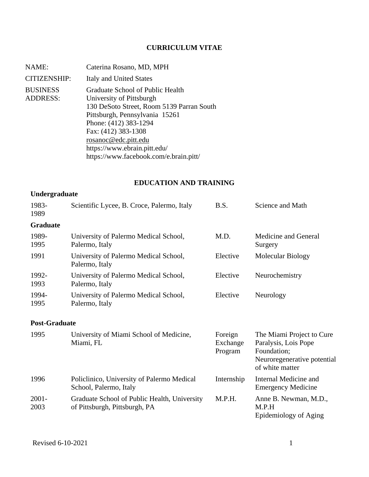## **CURRICULUM VITAE**

| NAME:                              | Caterina Rosano, MD, MPH                                                                                                                                                                                                                                                                      |
|------------------------------------|-----------------------------------------------------------------------------------------------------------------------------------------------------------------------------------------------------------------------------------------------------------------------------------------------|
| <b>CITIZENSHIP:</b>                | Italy and United States                                                                                                                                                                                                                                                                       |
| <b>BUSINESS</b><br><b>ADDRESS:</b> | Graduate School of Public Health<br>University of Pittsburgh<br>130 DeSoto Street, Room 5139 Parran South<br>Pittsburgh, Pennsylvania 15261<br>Phone: (412) 383-1294<br>Fax: (412) 383-1308<br>rosanoc@edc.pitt.edu<br>https://www.ebrain.pitt.edu/<br>https://www.facebook.com/e.brain.pitt/ |

# **EDUCATION AND TRAINING**

# **Undergraduate**

| 1983-<br>1989        | Scientific Lycee, B. Croce, Palermo, Italy                                    | B.S.                           | Science and Math                                                                                                   |
|----------------------|-------------------------------------------------------------------------------|--------------------------------|--------------------------------------------------------------------------------------------------------------------|
| <b>Graduate</b>      |                                                                               |                                |                                                                                                                    |
| 1989-<br>1995        | University of Palermo Medical School,<br>Palermo, Italy                       | M.D.                           | Medicine and General<br>Surgery                                                                                    |
| 1991                 | University of Palermo Medical School,<br>Palermo, Italy                       | Elective                       | Molecular Biology                                                                                                  |
| 1992-<br>1993        | University of Palermo Medical School,<br>Palermo, Italy                       | Elective                       | Neurochemistry                                                                                                     |
| 1994-<br>1995        | University of Palermo Medical School,<br>Palermo, Italy                       | Elective                       | Neurology                                                                                                          |
| <b>Post-Graduate</b> |                                                                               |                                |                                                                                                                    |
| 1995                 | University of Miami School of Medicine,<br>Miami, FL                          | Foreign<br>Exchange<br>Program | The Miami Project to Cure<br>Paralysis, Lois Pope<br>Foundation;<br>Neuroregenerative potential<br>of white matter |
| 1996                 | Policlinico, University of Palermo Medical<br>School, Palermo, Italy          | Internship                     | Internal Medicine and<br><b>Emergency Medicine</b>                                                                 |
| $2001 -$<br>2003     | Graduate School of Public Health, University<br>of Pittsburgh, Pittsburgh, PA | M.P.H.                         | Anne B. Newman, M.D.,<br>M.P.H<br>Epidemiology of Aging                                                            |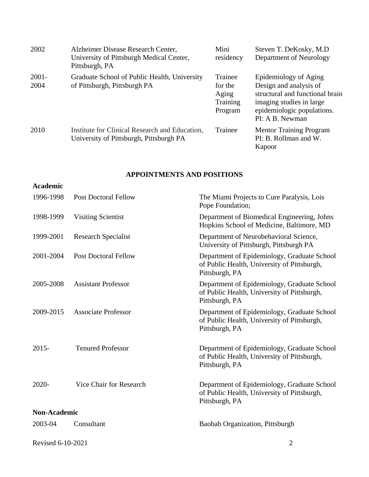| 2002             | Alzheimer Disease Research Center,<br>University of Pittsburgh Medical Center,<br>Pittsburgh, PA | Mini<br>residency                                  | Steven T. DeKosky, M.D.<br>Department of Neurology                                                                                                              |
|------------------|--------------------------------------------------------------------------------------------------|----------------------------------------------------|-----------------------------------------------------------------------------------------------------------------------------------------------------------------|
| $2001 -$<br>2004 | Graduate School of Public Health, University<br>of Pittsburgh, Pittsburgh PA                     | Trainee<br>for the<br>Aging<br>Training<br>Program | Epidemiology of Aging<br>Design and analysis of<br>structural and functional brain<br>imaging studies in large<br>epidemiologic populations.<br>PI: A B. Newman |
| 2010             | Institute for Clinical Research and Education,<br>University of Pittsburgh, Pittsburgh PA        | Trainee                                            | <b>Mentor Training Program</b><br>PI: B. Rollman and W.<br>Kapoor                                                                                               |

## **APPOINTMENTS AND POSITIONS**

| <b>Academic</b>     |                             |                                                                                                              |
|---------------------|-----------------------------|--------------------------------------------------------------------------------------------------------------|
| 1996-1998           | <b>Post Doctoral Fellow</b> | The Miami Projects to Cure Paralysis, Lois<br>Pope Foundation;                                               |
| 1998-1999           | <b>Visiting Scientist</b>   | Department of Biomedical Engineering, Johns<br>Hopkins School of Medicine, Baltimore, MD                     |
| 1999-2001           | <b>Research Specialist</b>  | Department of Neurobehavioral Science,<br>University of Pittsburgh, Pittsburgh PA                            |
| 2001-2004           | <b>Post Doctoral Fellow</b> | Department of Epidemiology, Graduate School<br>of Public Health, University of Pittsburgh,<br>Pittsburgh, PA |
| 2005-2008           | <b>Assistant Professor</b>  | Department of Epidemiology, Graduate School<br>of Public Health, University of Pittsburgh,<br>Pittsburgh, PA |
| 2009-2015           | <b>Associate Professor</b>  | Department of Epidemiology, Graduate School<br>of Public Health, University of Pittsburgh,<br>Pittsburgh, PA |
| $2015 -$            | <b>Tenured Professor</b>    | Department of Epidemiology, Graduate School<br>of Public Health, University of Pittsburgh,<br>Pittsburgh, PA |
| 2020-               | Vice Chair for Research     | Department of Epidemiology, Graduate School<br>of Public Health, University of Pittsburgh,<br>Pittsburgh, PA |
| <b>Non-Academic</b> |                             |                                                                                                              |
| 2003-04             | Consultant                  | Baobab Organization, Pittsburgh                                                                              |
| Revised 6-10-2021   |                             | $\overline{2}$                                                                                               |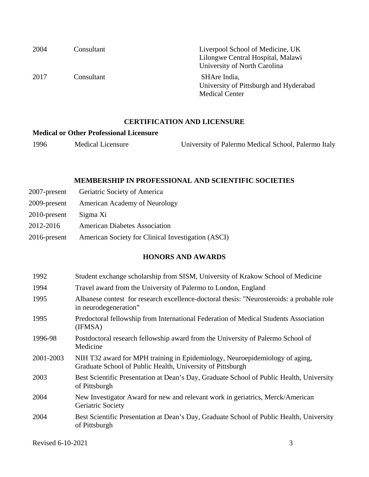| 2004 | Consultant | Liverpool School of Medicine, UK<br>Lilongwe Central Hospital, Malawi<br>University of North Carolina |
|------|------------|-------------------------------------------------------------------------------------------------------|
| 2017 | Consultant | SHAre India,<br>University of Pittsburgh and Hyderabad<br><b>Medical Center</b>                       |

#### **CERTIFICATION AND LICENSURE**

#### **Medical or Other Professional Licensure**

1996 Medical Licensure University of Palermo Medical School, Palermo Italy

### **MEMBERSHIP IN PROFESSIONAL AND SCIENTIFIC SOCIETIES**

|                 | 2007-present Geriatric Society of America          |
|-----------------|----------------------------------------------------|
| 2009-present    | <b>American Academy of Neurology</b>               |
| $2010$ -present | Sigma Xi                                           |
| 2012-2016       | <b>American Diabetes Association</b>               |
| $2016$ -present | American Society for Clinical Investigation (ASCI) |

### **HONORS AND AWARDS**

| 1992      | Student exchange scholarship from SISM, University of Krakow School of Medicine                                                           |
|-----------|-------------------------------------------------------------------------------------------------------------------------------------------|
| 1994      | Travel award from the University of Palermo to London, England                                                                            |
| 1995      | Albanese contest for research excellence-doctoral thesis: "Neurosteroids: a probable role<br>in neurodegeneration"                        |
| 1995      | Predoctoral fellowship from International Federation of Medical Students Association<br>(IFMSA)                                           |
| 1996-98   | Postdoctoral research fellowship award from the University of Palermo School of<br>Medicine                                               |
| 2001-2003 | NIH T32 award for MPH training in Epidemiology, Neuroepidemiology of aging,<br>Graduate School of Public Health, University of Pittsburgh |
| 2003      | Best Scientific Presentation at Dean's Day, Graduate School of Public Health, University<br>of Pittsburgh                                 |
| 2004      | New Investigator Award for new and relevant work in geriatrics, Merck/American<br>Geriatric Society                                       |
| 2004      | Best Scientific Presentation at Dean's Day, Graduate School of Public Health, University<br>of Pittsburgh                                 |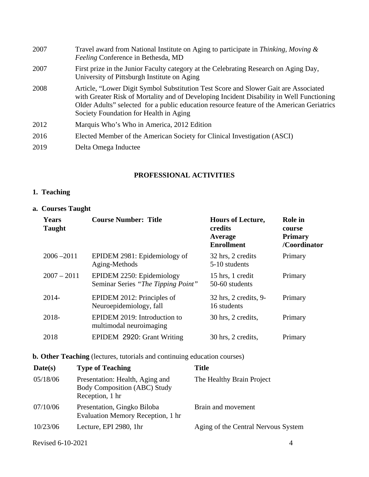| 2007 | Travel award from National Institute on Aging to participate in Thinking, Moving &<br>Feeling Conference in Bethesda, MD                                                                                                                                                                                               |
|------|------------------------------------------------------------------------------------------------------------------------------------------------------------------------------------------------------------------------------------------------------------------------------------------------------------------------|
| 2007 | First prize in the Junior Faculty category at the Celebrating Research on Aging Day,<br>University of Pittsburgh Institute on Aging                                                                                                                                                                                    |
| 2008 | Article, "Lower Digit Symbol Substitution Test Score and Slower Gait are Associated<br>with Greater Risk of Mortality and of Developing Incident Disability in Well Functioning<br>Older Adults" selected for a public education resource feature of the American Geriatrics<br>Society Foundation for Health in Aging |
| 2012 | Marquis Who's Who in America, 2012 Edition                                                                                                                                                                                                                                                                             |
| 2016 | Elected Member of the American Society for Clinical Investigation (ASCI)                                                                                                                                                                                                                                               |
| 2019 | Delta Omega Inductee                                                                                                                                                                                                                                                                                                   |

### **PROFESSIONAL ACTIVITIES**

## **1. Teaching**

### **a. Courses Taught**

| <b>Years</b><br><b>Taught</b> | <b>Course Number: Title</b>                                     | <b>Hours of Lecture,</b><br>credits<br>Average<br><b>Enrollment</b> | <b>Role</b> in<br>course<br><b>Primary</b><br>/Coordinator |
|-------------------------------|-----------------------------------------------------------------|---------------------------------------------------------------------|------------------------------------------------------------|
| $2006 - 2011$                 | EPIDEM 2981: Epidemiology of<br>Aging-Methods                   | 32 hrs, 2 credits<br>5-10 students                                  | Primary                                                    |
| $2007 - 2011$                 | EPIDEM 2250: Epidemiology<br>Seminar Series "The Tipping Point" | 15 hrs, 1 credit<br>50-60 students                                  | Primary                                                    |
| $2014 -$                      | EPIDEM 2012: Principles of<br>Neuroepidemiology, fall           | 32 hrs, 2 credits, 9-<br>16 students                                | Primary                                                    |
| 2018-                         | EPIDEM 2019: Introduction to<br>multimodal neuroimaging         | 30 hrs, 2 credits,                                                  | Primary                                                    |
| 2018                          | EPIDEM 2920: Grant Writing                                      | 30 hrs, 2 credits,                                                  | Primary                                                    |

**b. Other Teaching** (lectures, tutorials and continuing education courses)

| Date(s)  | <b>Type of Teaching</b>                                                                   | <b>Title</b>                        |
|----------|-------------------------------------------------------------------------------------------|-------------------------------------|
| 05/18/06 | Presentation: Health, Aging and<br><b>Body Composition (ABC) Study</b><br>Reception, 1 hr | The Healthy Brain Project           |
| 07/10/06 | Presentation, Gingko Biloba<br>Evaluation Memory Reception, 1 hr                          | Brain and movement                  |
| 10/23/06 | Lecture, EPI 2980, 1hr                                                                    | Aging of the Central Nervous System |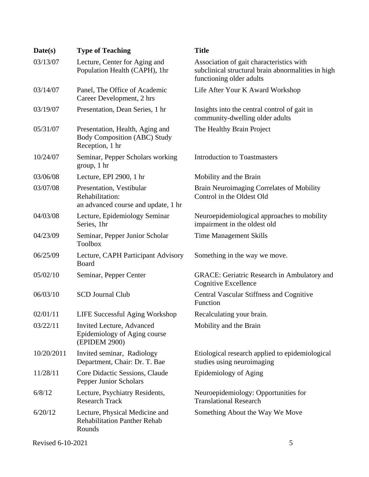| Date(s)    | <b>Type of Teaching</b>                                                                   | <b>Title</b>                                                                                                               |
|------------|-------------------------------------------------------------------------------------------|----------------------------------------------------------------------------------------------------------------------------|
| 03/13/07   | Lecture, Center for Aging and<br>Population Health (CAPH), 1hr                            | Association of gait characteristics with<br>subclinical structural brain abnormalities in high<br>functioning older adults |
| 03/14/07   | Panel, The Office of Academic<br>Career Development, 2 hrs                                | Life After Your K Award Workshop                                                                                           |
| 03/19/07   | Presentation, Dean Series, 1 hr                                                           | Insights into the central control of gait in<br>community-dwelling older adults                                            |
| 05/31/07   | Presentation, Health, Aging and<br><b>Body Composition (ABC) Study</b><br>Reception, 1 hr | The Healthy Brain Project                                                                                                  |
| 10/24/07   | Seminar, Pepper Scholars working<br>group, 1 hr                                           | <b>Introduction to Toastmasters</b>                                                                                        |
| 03/06/08   | Lecture, EPI 2900, 1 hr                                                                   | Mobility and the Brain                                                                                                     |
| 03/07/08   | Presentation, Vestibular<br>Rehabilitation:<br>an advanced course and update, 1 hr        | Brain Neuroimaging Correlates of Mobility<br>Control in the Oldest Old                                                     |
| 04/03/08   | Lecture, Epidemiology Seminar<br>Series, 1hr                                              | Neuroepidemiological approaches to mobility<br>impairment in the oldest old                                                |
| 04/23/09   | Seminar, Pepper Junior Scholar<br><b>Toolbox</b>                                          | <b>Time Management Skills</b>                                                                                              |
| 06/25/09   | Lecture, CAPH Participant Advisory<br>Board                                               | Something in the way we move.                                                                                              |
| 05/02/10   | Seminar, Pepper Center                                                                    | <b>GRACE:</b> Geriatric Research in Ambulatory and<br>Cognitive Excellence                                                 |
| 06/03/10   | <b>SCD Journal Club</b>                                                                   | <b>Central Vascular Stiffness and Cognitive</b><br>Function                                                                |
| 02/01/11   | <b>LIFE Successful Aging Workshop</b>                                                     | Recalculating your brain.                                                                                                  |
| 03/22/11   | Invited Lecture, Advanced<br>Epidemiology of Aging course<br>(EPIDEM 2900)                | Mobility and the Brain                                                                                                     |
| 10/20/2011 | Invited seminar, Radiology<br>Department, Chair: Dr. T. Bae                               | Etiological research applied to epidemiological<br>studies using neuroimaging                                              |
| 11/28/11   | Core Didactic Sessions, Claude<br>Pepper Junior Scholars                                  | Epidemiology of Aging                                                                                                      |
| 6/8/12     | Lecture, Psychiatry Residents,<br><b>Research Track</b>                                   | Neuroepidemiology: Opportunities for<br><b>Translational Research</b>                                                      |
| 6/20/12    | Lecture, Physical Medicine and<br><b>Rehabilitation Panther Rehab</b><br>Rounds           | Something About the Way We Move                                                                                            |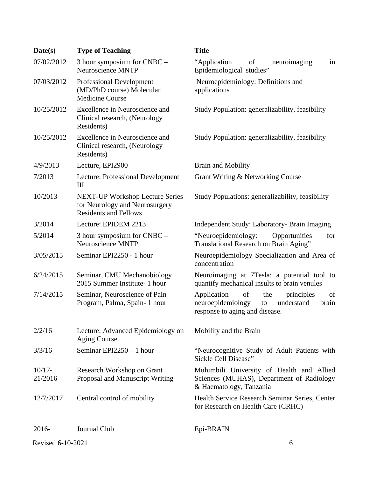| Date(s)              | <b>Type of Teaching</b>                                                                                  | <b>Title</b>                                                                                                                     |
|----------------------|----------------------------------------------------------------------------------------------------------|----------------------------------------------------------------------------------------------------------------------------------|
| 07/02/2012           | 3 hour symposium for CNBC -<br>Neuroscience MNTP                                                         | "Application<br>of<br>neuroimaging<br>in<br>Epidemiological studies"                                                             |
| 07/03/2012           | <b>Professional Development</b><br>(MD/PhD course) Molecular<br><b>Medicine Course</b>                   | Neuroepidemiology: Definitions and<br>applications                                                                               |
| 10/25/2012           | Excellence in Neuroscience and<br>Clinical research, (Neurology<br>Residents)                            | Study Population: generalizability, feasibility                                                                                  |
| 10/25/2012           | Excellence in Neuroscience and<br>Clinical research, (Neurology<br>Residents)                            | Study Population: generalizability, feasibility                                                                                  |
| 4/9/2013             | Lecture, EPI2900                                                                                         | <b>Brain and Mobility</b>                                                                                                        |
| 7/2013               | Lecture: Professional Development<br>III                                                                 | Grant Writing & Networking Course                                                                                                |
| 10/2013              | <b>NEXT-UP Workshop Lecture Series</b><br>for Neurology and Neurosurgery<br><b>Residents and Fellows</b> | Study Populations: generalizability, feasibility                                                                                 |
| 3/2014               | Lecture: EPIDEM 2213                                                                                     | Independent Study: Laboratory- Brain Imaging                                                                                     |
| 5/2014               | 3 hour symposium for $CNBC -$<br><b>Neuroscience MNTP</b>                                                | "Neuroepidemiology:<br>Opportunities<br>for<br>Translational Research on Brain Aging"                                            |
| 3/05/2015            | Seminar EPI2250 - 1 hour                                                                                 | Neuroepidemiology Specialization and Area of<br>concentration                                                                    |
| 6/24/2015            | Seminar, CMU Mechanobiology<br>2015 Summer Institute- 1 hour                                             | Neuroimaging at 7Tesla: a potential tool to<br>quantify mechanical insults to brain venules                                      |
| 7/14/2015            | Seminar, Neuroscience of Pain<br>Program, Palma, Spain- 1 hour                                           | of<br>Application<br>the<br>principles<br>of<br>neuroepidemiology<br>understand<br>brain<br>to<br>response to aging and disease. |
| 2/2/16               | Lecture: Advanced Epidemiology on<br><b>Aging Course</b>                                                 | Mobility and the Brain                                                                                                           |
| 3/3/16               | Seminar $EPI2250 - 1$ hour                                                                               | "Neurocognitive Study of Adult Patients with<br>Sickle Cell Disease"                                                             |
| $10/17 -$<br>21/2016 | Research Workshop on Grant<br>Proposal and Manuscript Writing                                            | Muhimbili University of Health and Allied<br>Sciences (MUHAS), Department of Radiology<br>& Haematology, Tanzania                |
| 12/7/2017            | Central control of mobility                                                                              | Health Service Research Seminar Series, Center<br>for Research on Health Care (CRHC)                                             |
| 2016-                | Journal Club                                                                                             | Epi-BRAIN                                                                                                                        |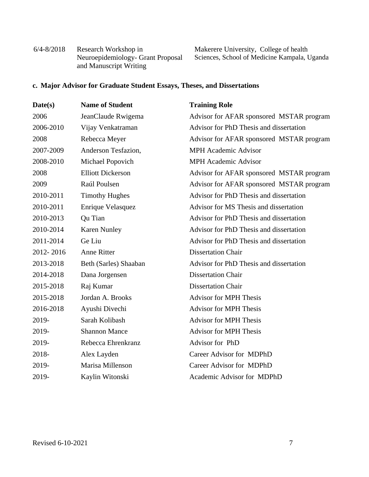| $6/4 - 8/2018$ | Research Workshop in              |
|----------------|-----------------------------------|
|                | Neuroepidemiology- Grant Proposal |
|                | and Manuscript Writing            |

Makerere University, College of health Sciences, School of Medicine Kampala, Uganda

## **c. Major Advisor for Graduate Student Essays, Theses, and Dissertations**

| Date(s)   | <b>Name of Student</b>   | <b>Training Role</b>                     |
|-----------|--------------------------|------------------------------------------|
| 2006      | JeanClaude Rwigema       | Advisor for AFAR sponsored MSTAR program |
| 2006-2010 | Vijay Venkatraman        | Advisor for PhD Thesis and dissertation  |
| 2008      | Rebecca Meyer            | Advisor for AFAR sponsored MSTAR program |
| 2007-2009 | Anderson Tesfazion,      | <b>MPH Academic Advisor</b>              |
| 2008-2010 | Michael Popovich         | <b>MPH</b> Academic Advisor              |
| 2008      | <b>Elliott Dickerson</b> | Advisor for AFAR sponsored MSTAR program |
| 2009      | Raúl Poulsen             | Advisor for AFAR sponsored MSTAR program |
| 2010-2011 | <b>Timothy Hughes</b>    | Advisor for PhD Thesis and dissertation  |
| 2010-2011 | Enrique Velasquez        | Advisor for MS Thesis and dissertation   |
| 2010-2013 | Qu Tian                  | Advisor for PhD Thesis and dissertation  |
| 2010-2014 | <b>Karen Nunley</b>      | Advisor for PhD Thesis and dissertation  |
| 2011-2014 | Ge Liu                   | Advisor for PhD Thesis and dissertation  |
| 2012-2016 | <b>Anne Ritter</b>       | <b>Dissertation Chair</b>                |
| 2013-2018 | Beth (Sarles) Shaaban    | Advisor for PhD Thesis and dissertation  |
| 2014-2018 | Dana Jorgensen           | <b>Dissertation Chair</b>                |
| 2015-2018 | Raj Kumar                | <b>Dissertation Chair</b>                |
| 2015-2018 | Jordan A. Brooks         | <b>Advisor for MPH Thesis</b>            |
| 2016-2018 | Ayushi Divechi           | <b>Advisor for MPH Thesis</b>            |
| 2019-     | Sarah Kolibash           | <b>Advisor for MPH Thesis</b>            |
| 2019-     | <b>Shannon Mance</b>     | <b>Advisor for MPH Thesis</b>            |
| 2019-     | Rebecca Ehrenkranz       | Advisor for PhD                          |
| 2018-     | Alex Layden              | Career Advisor for MDPhD                 |
| 2019-     | Marisa Millenson         | Career Advisor for MDPhD                 |
| 2019-     | Kaylin Witonski          | Academic Advisor for MDPhD               |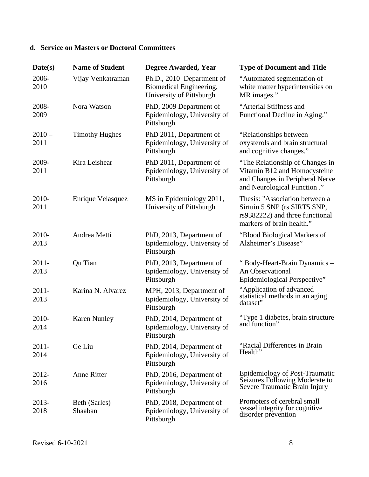## **d. Service on Masters or Doctoral Committees**

| Date(s)          | <b>Name of Student</b>   | Degree Awarded, Year                                                             | <b>Type of Document and Title</b>                                                                                                  |
|------------------|--------------------------|----------------------------------------------------------------------------------|------------------------------------------------------------------------------------------------------------------------------------|
| 2006-<br>2010    | Vijay Venkatraman        | Ph.D., 2010 Department of<br>Biomedical Engineering,<br>University of Pittsburgh | "Automated segmentation of<br>white matter hyperintensities on<br>MR images."                                                      |
| 2008-<br>2009    | Nora Watson              | PhD, 2009 Department of<br>Epidemiology, University of<br>Pittsburgh             | "Arterial Stiffness and<br>Functional Decline in Aging."                                                                           |
| $2010 -$<br>2011 | <b>Timothy Hughes</b>    | PhD 2011, Department of<br>Epidemiology, University of<br>Pittsburgh             | "Relationships between"<br>oxysterols and brain structural<br>and cognitive changes."                                              |
| 2009-<br>2011    | Kira Leishear            | PhD 2011, Department of<br>Epidemiology, University of<br>Pittsburgh             | "The Relationship of Changes in<br>Vitamin B12 and Homocysteine<br>and Changes in Peripheral Nerve<br>and Neurological Function ." |
| 2010-<br>2011    | Enrique Velasquez        | MS in Epidemiology 2011,<br>University of Pittsburgh                             | Thesis: "Association between a<br>Sirtuin 5 SNP (rs SIRT5 SNP,<br>rs9382222) and three functional<br>markers of brain health."     |
| 2010-<br>2013    | Andrea Metti             | PhD, 2013, Department of<br>Epidemiology, University of<br>Pittsburgh            | "Blood Biological Markers of<br>Alzheimer's Disease"                                                                               |
| $2011 -$<br>2013 | Qu Tian                  | PhD, 2013, Department of<br>Epidemiology, University of<br>Pittsburgh            | "Body-Heart-Brain Dynamics -<br>An Observational<br>Epidemiological Perspective"                                                   |
| $2011 -$<br>2013 | Karina N. Alvarez        | MPH, 2013, Department of<br>Epidemiology, University of<br>Pittsburgh            | "Application of advanced<br>statistical methods in an aging<br>dataset"                                                            |
| 2010-<br>2014    | <b>Karen Nunley</b>      | PhD, 2014, Department of<br>Epidemiology, University of<br>Pittsburgh            | "Type 1 diabetes, brain structure<br>and function"                                                                                 |
| $2011 -$<br>2014 | Ge Liu                   | PhD, 2014, Department of<br>Epidemiology, University of<br>Pittsburgh            | "Racial Differences in Brain<br>Health"                                                                                            |
| 2012-<br>2016    | <b>Anne Ritter</b>       | PhD, 2016, Department of<br>Epidemiology, University of<br>Pittsburgh            | Epidemiology of Post-Traumatic<br>Seizures Following Moderate to<br>Severe Traumatic Brain Injury                                  |
| 2013-<br>2018    | Beth (Sarles)<br>Shaaban | PhD, 2018, Department of<br>Epidemiology, University of<br>Pittsburgh            | Promoters of cerebral small<br>vessel integrity for cognitive<br>disorder prevention                                               |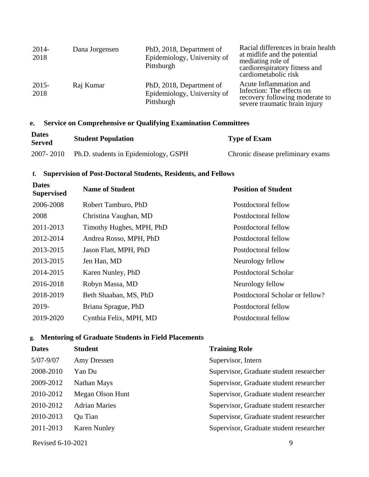| $2014-$<br>2018  | Dana Jorgensen | PhD, 2018, Department of<br>Epidemiology, University of<br>Pittsburgh | Racial differences in brain health<br>at midlife and the potential<br>mediating role of<br>cardiorespiratory fitness and<br>cardiometabolic risk |
|------------------|----------------|-----------------------------------------------------------------------|--------------------------------------------------------------------------------------------------------------------------------------------------|
| $2015 -$<br>2018 | Raj Kumar      | PhD, 2018, Department of<br>Epidemiology, University of<br>Pittsburgh | Acute Inflammation and<br>Infection: The effects on<br>recovery following moderate to<br>severe traumatic brain injury                           |

### **e. Service on Comprehensive or Qualifying Examination Committees**

| <b>Dates</b><br><b>Served</b> | <b>Student Population</b>            | <b>Type of Exam</b>               |
|-------------------------------|--------------------------------------|-----------------------------------|
| 2007-2010                     | Ph.D. students in Epidemiology, GSPH | Chronic disease preliminary exams |

### **f. Supervision of Post-Doctoral Students, Residents, and Fellows**

| <b>Dates</b><br><b>Supervised</b> | <b>Name of Student</b>   | <b>Position of Student</b>      |
|-----------------------------------|--------------------------|---------------------------------|
| 2006-2008                         | Robert Tamburo, PhD      | Postdoctoral fellow             |
| 2008                              | Christina Vaughan, MD    | Postdoctoral fellow             |
| 2011-2013                         | Timothy Hughes, MPH, PhD | Postdoctoral fellow             |
| 2012-2014                         | Andrea Rosso, MPH, PhD   | Postdoctoral fellow             |
| 2013-2015                         | Jason Flatt, MPH, PhD    | Postdoctoral fellow             |
| 2013-2015                         | Jen Han, MD              | Neurology fellow                |
| 2014-2015                         | Karen Nunley, PhD        | Postdoctoral Scholar            |
| 2016-2018                         | Robyn Massa, MD          | Neurology fellow                |
| 2018-2019                         | Beth Shaaban, MS, PhD    | Postdoctoral Scholar or fellow? |
| 2019-                             | Briana Sprague, PhD      | Postdoctoral fellow             |
| 2019-2020                         | Cynthia Felix, MPH, MD   | Postdoctoral fellow             |

### **g. Mentoring of Graduate Students in Field Placements**

| <b>Dates</b>  | <b>Student</b>       | <b>Training Role</b>                    |
|---------------|----------------------|-----------------------------------------|
| $5/07 - 9/07$ | Amy Dressen          | Supervisor, Intern                      |
| 2008-2010     | Yan Du               | Supervisor, Graduate student researcher |
| 2009-2012     | Nathan Mays          | Supervisor, Graduate student researcher |
| 2010-2012     | Megan Olson Hunt     | Supervisor, Graduate student researcher |
| 2010-2012     | <b>Adrian Maries</b> | Supervisor, Graduate student researcher |
| 2010-2013     | Qu Tian              | Supervisor, Graduate student researcher |
| 2011-2013     | <b>Karen Nunley</b>  | Supervisor, Graduate student researcher |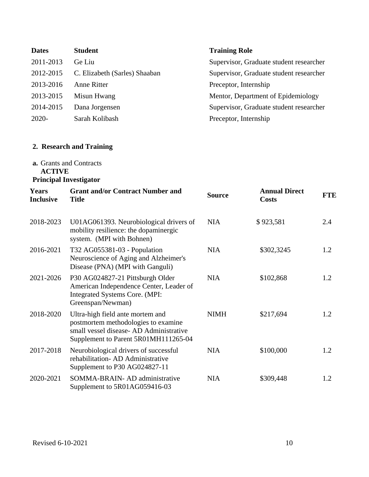| <b>Dates</b> | <b>Student</b>                | <b>Training Role</b>                    |
|--------------|-------------------------------|-----------------------------------------|
| 2011-2013    | Ge Liu                        | Supervisor, Graduate student researcher |
| 2012-2015    | C. Elizabeth (Sarles) Shaaban | Supervisor, Graduate student researcher |
| 2013-2016    | <b>Anne Ritter</b>            | Preceptor, Internship                   |
| 2013-2015    | Misun Hwang                   | Mentor, Department of Epidemiology      |
| 2014-2015    | Dana Jorgensen                | Supervisor, Graduate student researcher |
| $2020 -$     | Sarah Kolibash                | Preceptor, Internship                   |

## **2. Research and Training**

### **a.** Grants and Contracts **ACTIVE Principal Investigator**

| Years<br><b>Inclusive</b> | <b>Grant and/or Contract Number and</b><br><b>Title</b>                                                                                                   | <b>Source</b> | <b>Annual Direct</b><br><b>Costs</b> | <b>FTE</b> |
|---------------------------|-----------------------------------------------------------------------------------------------------------------------------------------------------------|---------------|--------------------------------------|------------|
| 2018-2023                 | U01AG061393. Neurobiological drivers of<br>mobility resilience: the dopaminergic<br>system. (MPI with Bohnen)                                             | <b>NIA</b>    | \$923,581                            | 2.4        |
| 2016-2021                 | T32 AG055381-03 - Population<br>Neuroscience of Aging and Alzheimer's<br>Disease (PNA) (MPI with Ganguli)                                                 | <b>NIA</b>    | \$302,3245                           | 1.2        |
| 2021-2026                 | P30 AG024827-21 Pittsburgh Older<br>American Independence Center, Leader of<br>Integrated Systems Core. (MPI:<br>Greenspan/Newman)                        | <b>NIA</b>    | \$102,868                            | 1.2        |
| 2018-2020                 | Ultra-high field ante mortem and<br>postmortem methodologies to examine<br>small vessel disease-AD Administrative<br>Supplement to Parent 5R01MH111265-04 | <b>NIMH</b>   | \$217,694                            | 1.2        |
| 2017-2018                 | Neurobiological drivers of successful<br>rehabilitation-AD Administrative<br>Supplement to P30 AG024827-11                                                | <b>NIA</b>    | \$100,000                            | 1.2        |
| 2020-2021                 | SOMMA-BRAIN- AD administrative<br>Supplement to 5R01AG059416-03                                                                                           | <b>NIA</b>    | \$309,448                            | 1.2        |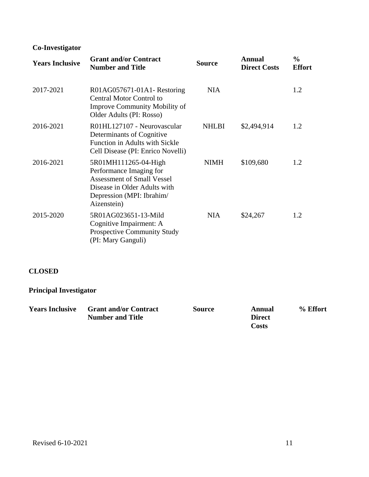# **Co-Investigator**

| <b>Years Inclusive</b> | <b>Grant and/or Contract</b><br><b>Number and Title</b>                                                                                                          | <b>Source</b> | <b>Annual</b><br><b>Direct Costs</b> | $\frac{6}{9}$<br><b>Effort</b> |
|------------------------|------------------------------------------------------------------------------------------------------------------------------------------------------------------|---------------|--------------------------------------|--------------------------------|
| 2017-2021              | R01AG057671-01A1- Restoring<br><b>Central Motor Control to</b><br>Improve Community Mobility of<br>Older Adults (PI: Rosso)                                      | <b>NIA</b>    |                                      | 1.2                            |
| 2016-2021              | R01HL127107 - Neurovascular<br>Determinants of Cognitive<br>Function in Adults with Sickle<br>Cell Disease (PI: Enrico Novelli)                                  | <b>NHLBI</b>  | \$2,494,914                          | 1.2                            |
| 2016-2021              | 5R01MH111265-04-High<br>Performance Imaging for<br><b>Assessment of Small Vessel</b><br>Disease in Older Adults with<br>Depression (MPI: Ibrahim/<br>Aizenstein) | <b>NIMH</b>   | \$109,680                            | 1.2                            |
| 2015-2020              | 5R01AG023651-13-Mild<br>Cognitive Impairment: A<br><b>Prospective Community Study</b><br>(PI: Mary Ganguli)                                                      | <b>NIA</b>    | \$24,267                             | 1.2                            |

### **CLOSED**

# **Principal Investigator**

| <b>Years Inclusive</b> | <b>Grant and/or Contract</b> | Source | Annual        | % Effort |
|------------------------|------------------------------|--------|---------------|----------|
|                        | <b>Number and Title</b>      |        | <b>Direct</b> |          |
|                        |                              |        | <b>Costs</b>  |          |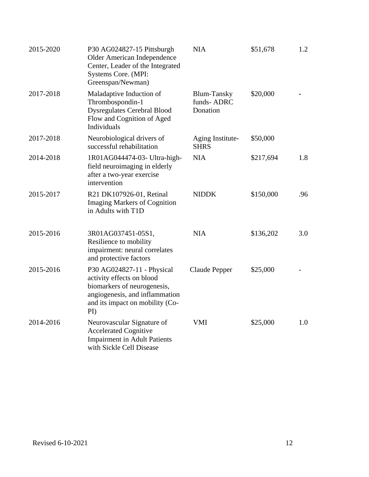| 2015-2020 | P30 AG024827-15 Pittsburgh<br>Older American Independence<br>Center, Leader of the Integrated<br>Systems Core. (MPI:<br>Greenspan/Newman)                                | <b>NIA</b>                                   | \$51,678  | 1.2 |
|-----------|--------------------------------------------------------------------------------------------------------------------------------------------------------------------------|----------------------------------------------|-----------|-----|
| 2017-2018 | Maladaptive Induction of<br>Thrombospondin-1<br><b>Dysregulates Cerebral Blood</b><br>Flow and Cognition of Aged<br>Individuals                                          | <b>Blum-Tansky</b><br>funds-ADRC<br>Donation | \$20,000  |     |
| 2017-2018 | Neurobiological drivers of<br>successful rehabilitation                                                                                                                  | Aging Institute-<br><b>SHRS</b>              | \$50,000  |     |
| 2014-2018 | 1R01AG044474-03- Ultra-high-<br>field neuroimaging in elderly<br>after a two-year exercise<br>intervention                                                               | <b>NIA</b>                                   | \$217,694 | 1.8 |
| 2015-2017 | R21 DK107926-01, Retinal<br><b>Imaging Markers of Cognition</b><br>in Adults with T1D                                                                                    | <b>NIDDK</b>                                 | \$150,000 | .96 |
| 2015-2016 | 3R01AG037451-05S1,<br>Resilience to mobility<br>impairment: neural correlates<br>and protective factors                                                                  | <b>NIA</b>                                   | \$136,202 | 3.0 |
| 2015-2016 | P30 AG024827-11 - Physical<br>activity effects on blood<br>biomarkers of neurogenesis,<br>angiogenesis, and inflammation<br>and its impact on mobility (Co-<br>$\rm{PI}$ | Claude Pepper                                | \$25,000  |     |
| 2014-2016 | Neurovascular Signature of<br><b>Accelerated Cognitive</b><br><b>Impairment in Adult Patients</b><br>with Sickle Cell Disease                                            | <b>VMI</b>                                   | \$25,000  | 1.0 |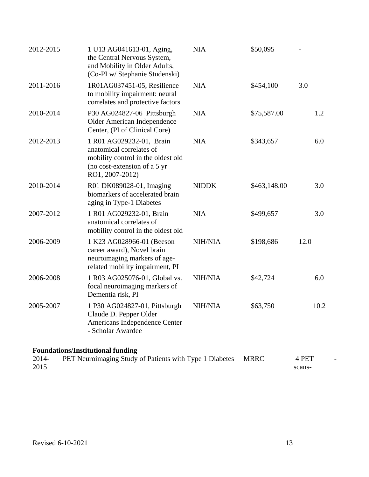| 2012-2015     | 1 U13 AG041613-01, Aging,<br>the Central Nervous System,<br>and Mobility in Older Adults,<br>(Co-PI w/ Stephanie Studenski)                   | <b>NIA</b>   | \$50,095     |                 |
|---------------|-----------------------------------------------------------------------------------------------------------------------------------------------|--------------|--------------|-----------------|
| 2011-2016     | 1R01AG037451-05, Resilience<br>to mobility impairment: neural<br>correlates and protective factors                                            | <b>NIA</b>   | \$454,100    | 3.0             |
| 2010-2014     | P30 AG024827-06 Pittsburgh<br>Older American Independence<br>Center, (PI of Clinical Core)                                                    | <b>NIA</b>   | \$75,587.00  | 1.2             |
| 2012-2013     | 1 R01 AG029232-01, Brain<br>anatomical correlates of<br>mobility control in the oldest old<br>(no cost-extension of a 5 yr<br>RO1, 2007-2012) | <b>NIA</b>   | \$343,657    | 6.0             |
| 2010-2014     | R01 DK089028-01, Imaging<br>biomarkers of accelerated brain<br>aging in Type-1 Diabetes                                                       | <b>NIDDK</b> | \$463,148.00 | 3.0             |
| 2007-2012     | 1 R01 AG029232-01, Brain<br>anatomical correlates of<br>mobility control in the oldest old                                                    | <b>NIA</b>   | \$499,657    | 3.0             |
| 2006-2009     | 1 K23 AG028966-01 (Beeson<br>career award), Novel brain<br>neuroimaging markers of age-<br>related mobility impairment, PI                    | NIH/NIA      | \$198,686    | 12.0            |
| 2006-2008     | 1 R03 AG025076-01, Global vs.<br>focal neuroimaging markers of<br>Dementia risk, PI                                                           | NIH/NIA      | \$42,724     | 6.0             |
| 2005-2007     | 1 P30 AG024827-01, Pittsburgh<br>Claude D. Pepper Older<br>Americans Independence Center<br>- Scholar Awardee                                 | NIH/NIA      | \$63,750     | 10.2            |
| 2014-<br>2015 | <b>Foundations/Institutional funding</b><br>PET Neuroimaging Study of Patients with Type 1 Diabetes                                           |              | <b>MRRC</b>  | 4 PET<br>scans- |

-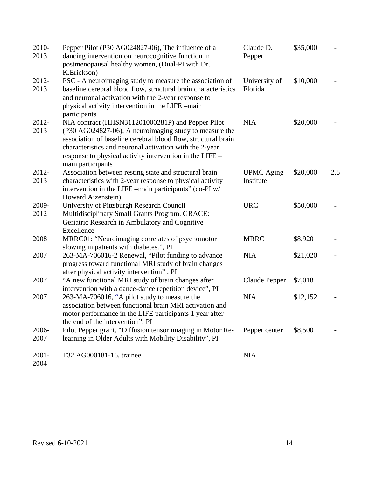| 2010-         | Pepper Pilot (P30 AG024827-06), The influence of a                                                                                                                                                                                                                  | Claude D.                | \$35,000 |     |
|---------------|---------------------------------------------------------------------------------------------------------------------------------------------------------------------------------------------------------------------------------------------------------------------|--------------------------|----------|-----|
| 2013          | dancing intervention on neurocognitive function in<br>postmenopausal healthy women, (Dual-PI with Dr.                                                                                                                                                               | Pepper                   |          |     |
|               | K.Erickson)                                                                                                                                                                                                                                                         |                          |          |     |
| 2012-<br>2013 | PSC - A neuroimaging study to measure the association of<br>baseline cerebral blood flow, structural brain characteristics<br>and neuronal activation with the 2-year response to<br>physical activity intervention in the LIFE -main<br>participants               | University of<br>Florida | \$10,000 |     |
| $2012 -$      | NIA contract (HHSN311201000281P) and Pepper Pilot                                                                                                                                                                                                                   | <b>NIA</b>               | \$20,000 |     |
| 2013          | (P30 AG024827-06), A neuroimaging study to measure the<br>association of baseline cerebral blood flow, structural brain<br>characteristics and neuronal activation with the 2-year<br>response to physical activity intervention in the LIFE –<br>main participants |                          |          |     |
| 2012-         | Association between resting state and structural brain                                                                                                                                                                                                              | <b>UPMC</b> Aging        | \$20,000 | 2.5 |
| 2013          | characteristics with 2-year response to physical activity<br>intervention in the LIFE -main participants" (co-PI w/<br>Howard Aizenstein)                                                                                                                           | Institute                |          |     |
| 2009-         | University of Pittsburgh Research Council                                                                                                                                                                                                                           | <b>URC</b>               | \$50,000 |     |
| 2012          | Multidisciplinary Small Grants Program. GRACE:<br>Geriatric Research in Ambulatory and Cognitive<br>Excellence                                                                                                                                                      |                          |          |     |
| 2008          | MRRC01: "Neuroimaging correlates of psychomotor<br>slowing in patients with diabetes.", PI                                                                                                                                                                          | <b>MRRC</b>              | \$8,920  |     |
| 2007          | 263-MA-706016-2 Renewal, "Pilot funding to advance<br>progress toward functional MRI study of brain changes<br>after physical activity intervention", PI                                                                                                            | <b>NIA</b>               | \$21,020 |     |
| 2007          | "A new functional MRI study of brain changes after<br>intervention with a dance-dance repetition device", PI                                                                                                                                                        | Claude Pepper            | \$7,018  |     |
| 2007          | 263-MA-706016, "A pilot study to measure the<br>association between functional brain MRI activation and<br>motor performance in the LIFE participants 1 year after<br>the end of the intervention", PI                                                              | <b>NIA</b>               | \$12,152 |     |
| 2006-<br>2007 | Pilot Pepper grant, "Diffusion tensor imaging in Motor Re-<br>learning in Older Adults with Mobility Disability", PI                                                                                                                                                | Pepper center            | \$8,500  |     |
| $2001 -$      | T32 AG000181-16, trainee                                                                                                                                                                                                                                            | <b>NIA</b>               |          |     |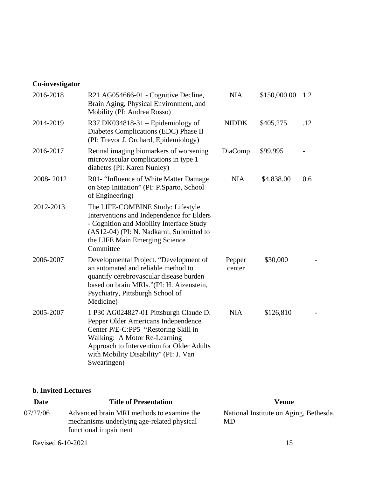# **Co-investigator**

| 2016-2018 | R21 AG054666-01 - Cognitive Decline,<br>Brain Aging, Physical Environment, and<br>Mobility (PI: Andrea Rosso)                                                                                                                                              | <b>NIA</b>       | \$150,000.00 | 1.2 |
|-----------|------------------------------------------------------------------------------------------------------------------------------------------------------------------------------------------------------------------------------------------------------------|------------------|--------------|-----|
| 2014-2019 | R37 DK034818-31 - Epidemiology of<br>Diabetes Complications (EDC) Phase II<br>(PI: Trevor J. Orchard, Epidemiology)                                                                                                                                        | <b>NIDDK</b>     | \$405,275    | .12 |
| 2016-2017 | Retinal imaging biomarkers of worsening<br>microvascular complications in type 1<br>diabetes (PI: Karen Nunley)                                                                                                                                            | DiaComp          | \$99,995     |     |
| 2008-2012 | R01- "Influence of White Matter Damage<br>on Step Initiation" (PI: P.Sparto, School<br>of Engineering)                                                                                                                                                     | <b>NIA</b>       | \$4,838.00   | 0.6 |
| 2012-2013 | The LIFE-COMBINE Study: Lifestyle<br>Interventions and Independence for Elders<br>- Cognition and Mobility Interface Study<br>(AS12-04) (PI: N. Nadkarni, Submitted to<br>the LIFE Main Emerging Science<br>Committee                                      |                  |              |     |
| 2006-2007 | Developmental Project. "Development of<br>an automated and reliable method to<br>quantify cerebrovascular disease burden<br>based on brain MRIs."(PI: H. Aizenstein,<br>Psychiatry, Pittsburgh School of<br>Medicine)                                      | Pepper<br>center | \$30,000     |     |
| 2005-2007 | 1 P30 AG024827-01 Pittsburgh Claude D.<br>Pepper Older Americans Independence<br>Center P/E-C:PP5 "Restoring Skill in<br>Walking: A Motor Re-Learning<br>Approach to Intervention for Older Adults<br>with Mobility Disability" (PI: J. Van<br>Swearingen) | <b>NIA</b>       | \$126,810    |     |

### **b. Invited Lectures**

| <b>Date</b> | <b>Title of Presentation</b>                                                                                     | Venue                                        |
|-------------|------------------------------------------------------------------------------------------------------------------|----------------------------------------------|
| 07/27/06    | Advanced brain MRI methods to examine the<br>mechanisms underlying age-related physical<br>functional impairment | National Institute on Aging, Bethesda,<br>MD |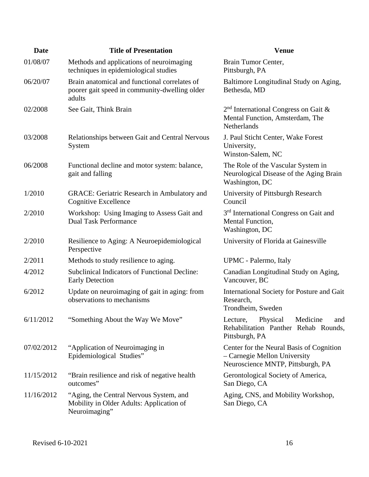| <b>Date</b> | <b>Title of Presentation</b>                                                                             | <b>Venue</b>                                                                                                  |
|-------------|----------------------------------------------------------------------------------------------------------|---------------------------------------------------------------------------------------------------------------|
| 01/08/07    | Methods and applications of neuroimaging<br>techniques in epidemiological studies                        | Brain Tumor Center,<br>Pittsburgh, PA                                                                         |
| 06/20/07    | Brain anatomical and functional correlates of<br>poorer gait speed in community-dwelling older<br>adults | Baltimore Longitudinal Study on Aging,<br>Bethesda, MD                                                        |
| 02/2008     | See Gait, Think Brain                                                                                    | $2nd$ International Congress on Gait &<br>Mental Function, Amsterdam, The<br>Netherlands                      |
| 03/2008     | Relationships between Gait and Central Nervous<br>System                                                 | J. Paul Sticht Center, Wake Forest<br>University,<br>Winston-Salem, NC                                        |
| 06/2008     | Functional decline and motor system: balance,<br>gait and falling                                        | The Role of the Vascular System in<br>Neurological Disease of the Aging Brain<br>Washington, DC               |
| 1/2010      | <b>GRACE:</b> Geriatric Research in Ambulatory and<br><b>Cognitive Excellence</b>                        | University of Pittsburgh Research<br>Council                                                                  |
| 2/2010      | Workshop: Using Imaging to Assess Gait and<br><b>Dual Task Performance</b>                               | 3 <sup>rd</sup> International Congress on Gait and<br>Mental Function,<br>Washington, DC                      |
| 2/2010      | Resilience to Aging: A Neuroepidemiological<br>Perspective                                               | University of Florida at Gainesville                                                                          |
| 2/2011      | Methods to study resilience to aging.                                                                    | UPMC - Palermo, Italy                                                                                         |
| 4/2012      | <b>Subclinical Indicators of Functional Decline:</b><br><b>Early Detection</b>                           | Canadian Longitudinal Study on Aging,<br>Vancouver, BC                                                        |
| 6/2012      | Update on neuroimaging of gait in aging: from<br>observations to mechanisms                              | International Society for Posture and Gait<br>Research,<br>Trondheim, Sweden                                  |
| 6/11/2012   | "Something About the Way We Move"                                                                        | Lecture,<br>Physical<br>Medicine<br>and<br>Rehabilitation Panther Rehab Rounds,<br>Pittsburgh, PA             |
| 07/02/2012  | "Application of Neuroimaging in<br>Epidemiological Studies"                                              | Center for the Neural Basis of Cognition<br>- Carnegie Mellon University<br>Neuroscience MNTP, Pittsburgh, PA |
| 11/15/2012  | "Brain resilience and risk of negative health<br>outcomes"                                               | Gerontological Society of America,<br>San Diego, CA                                                           |
| 11/16/2012  | "Aging, the Central Nervous System, and<br>Mobility in Older Adults: Application of<br>Neuroimaging"     | Aging, CNS, and Mobility Workshop,<br>San Diego, CA                                                           |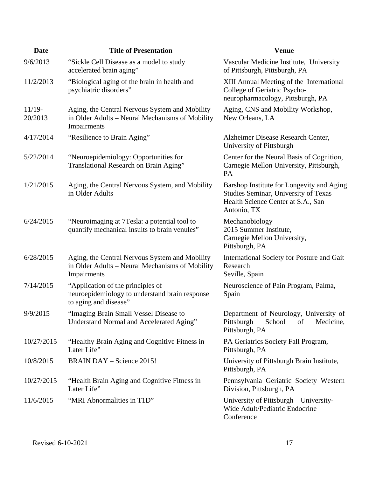| <b>Date</b>         | <b>Title of Presentation</b>                                                                                     | <b>Venue</b>                                                                                                                                  |
|---------------------|------------------------------------------------------------------------------------------------------------------|-----------------------------------------------------------------------------------------------------------------------------------------------|
| 9/6/2013            | "Sickle Cell Disease as a model to study<br>accelerated brain aging"                                             | Vascular Medicine Institute, University<br>of Pittsburgh, Pittsburgh, PA                                                                      |
| 11/2/2013           | "Biological aging of the brain in health and<br>psychiatric disorders"                                           | XIII Annual Meeting of the International<br>College of Geriatric Psycho-<br>neuropharmacology, Pittsburgh, PA                                 |
| $11/19-$<br>20/2013 | Aging, the Central Nervous System and Mobility<br>in Older Adults - Neural Mechanisms of Mobility<br>Impairments | Aging, CNS and Mobility Workshop,<br>New Orleans, LA                                                                                          |
| 4/17/2014           | "Resilience to Brain Aging"                                                                                      | Alzheimer Disease Research Center,<br>University of Pittsburgh                                                                                |
| 5/22/2014           | "Neuroepidemiology: Opportunities for<br>Translational Research on Brain Aging"                                  | Center for the Neural Basis of Cognition,<br>Carnegie Mellon University, Pittsburgh,<br>PA                                                    |
| 1/21/2015           | Aging, the Central Nervous System, and Mobility<br>in Older Adults                                               | Barshop Institute for Longevity and Aging<br><b>Studies Seminar, University of Texas</b><br>Health Science Center at S.A., San<br>Antonio, TX |
| 6/24/2015           | "Neuroimaging at 7Tesla: a potential tool to<br>quantify mechanical insults to brain venules"                    | Mechanobiology<br>2015 Summer Institute,<br>Carnegie Mellon University,<br>Pittsburgh, PA                                                     |
| 6/28/2015           | Aging, the Central Nervous System and Mobility<br>in Older Adults – Neural Mechanisms of Mobility<br>Impairments | International Society for Posture and Gait<br>Research<br>Seville, Spain                                                                      |
| 7/14/2015           | "Application of the principles of<br>neuroepidemiology to understand brain response<br>to aging and disease"     | Neuroscience of Pain Program, Palma,<br>Spain                                                                                                 |
| 9/9/2015            | "Imaging Brain Small Vessel Disease to<br>Understand Normal and Accelerated Aging"                               | Department of Neurology, University of<br>Pittsburgh<br>School<br>Medicine,<br>of<br>Pittsburgh, PA                                           |
| 10/27/2015          | "Healthy Brain Aging and Cognitive Fitness in<br>Later Life"                                                     | PA Geriatrics Society Fall Program,<br>Pittsburgh, PA                                                                                         |
| 10/8/2015           | <b>BRAIN DAY – Science 2015!</b>                                                                                 | University of Pittsburgh Brain Institute,<br>Pittsburgh, PA                                                                                   |
| 10/27/2015          | "Health Brain Aging and Cognitive Fitness in<br>Later Life"                                                      | Pennsylvania Geriatric Society Western<br>Division, Pittsburgh, PA                                                                            |
| 11/6/2015           | "MRI Abnormalities in T1D"                                                                                       | University of Pittsburgh – University-<br>Wide Adult/Pediatric Endocrine<br>Conference                                                        |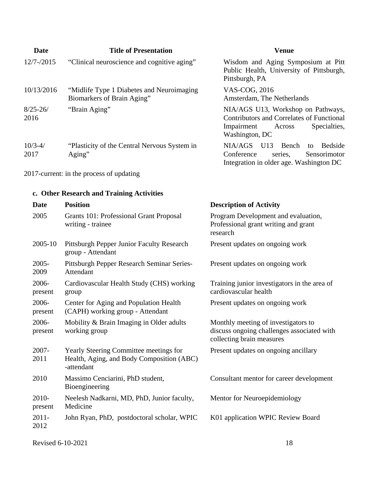| Date                 | <b>Title of Presentation</b>                                                                             | <b>Venue</b>                                                                                                                                     |
|----------------------|----------------------------------------------------------------------------------------------------------|--------------------------------------------------------------------------------------------------------------------------------------------------|
| $12/7 - /2015$       | "Clinical neuroscience and cognitive aging"                                                              | Wisdom and Aging Symposium at Pitt<br>Public Health, University of Pittsburgh,<br>Pittsburgh, PA                                                 |
| 10/13/2016           | "Midlife Type 1 Diabetes and Neuroimaging<br>Biomarkers of Brain Aging"                                  | VAS-COG, 2016<br>Amsterdam, The Netherlands                                                                                                      |
| $8/25 - 26/$<br>2016 | "Brain Aging"                                                                                            | NIA/AGS U13, Workshop on Pathways,<br><b>Contributors and Correlates of Functional</b><br>Impairment<br>Specialties,<br>Across<br>Washington, DC |
| $10/3 - 4/$<br>2017  | "Plasticity of the Central Nervous System in<br>Aging"                                                   | U13<br>NIA/AGS<br>Bench<br>Bedside<br>to<br>Conference<br>Sensorimotor<br>series,<br>Integration in older age. Washington DC                     |
|                      | 2017-current: in the process of updating                                                                 |                                                                                                                                                  |
|                      | c. Other Research and Training Activities                                                                |                                                                                                                                                  |
| Date                 | <b>Position</b>                                                                                          | <b>Description of Activity</b>                                                                                                                   |
| 2005                 | <b>Grants 101: Professional Grant Proposal</b><br>writing - trainee                                      | Program Development and evaluation,<br>Professional grant writing and grant<br>research                                                          |
| 2005-10              | Pittsburgh Pepper Junior Faculty Research<br>group - Attendant                                           | Present updates on ongoing work                                                                                                                  |
| $2005 -$<br>2009     | Pittsburgh Pepper Research Seminar Series-<br>Attendant                                                  | Present updates on ongoing work                                                                                                                  |
| 2006-<br>present     | Cardiovascular Health Study (CHS) working<br>group                                                       | Training junior investigators in the area of<br>cardiovascular health                                                                            |
| 2006-<br>present     | Center for Aging and Population Health<br>(CAPH) working group - Attendant                               | Present updates on ongoing work                                                                                                                  |
| 2006-<br>present     | Mobility & Brain Imaging in Older adults<br>working group                                                | Monthly meeting of investigators to<br>discuss ongoing challenges associated with<br>collecting brain measures                                   |
| 2007-<br>2011        | <b>Yearly Steering Committee meetings for</b><br>Health, Aging, and Body Composition (ABC)<br>-attendant | Present updates on ongoing ancillary                                                                                                             |
| 2010                 | Massimo Cenciarini, PhD student,<br>Bioengineering                                                       | Consultant mentor for career development                                                                                                         |
| 2010-<br>present     | Neelesh Nadkarni, MD, PhD, Junior faculty,<br>Medicine                                                   | Mentor for Neuroepidemiology                                                                                                                     |
| $2011 -$<br>2012     | John Ryan, PhD, postdoctoral scholar, WPIC                                                               | K01 application WPIC Review Board                                                                                                                |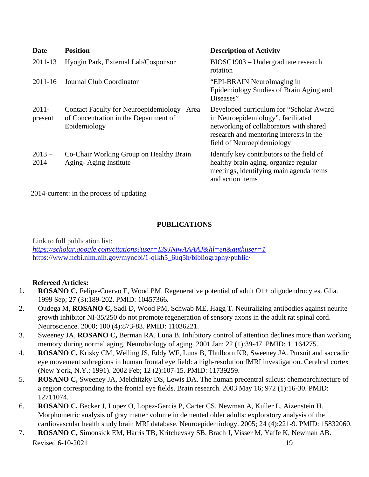| Date                | <b>Position</b>                                                                                       | <b>Description of Activity</b>                                                                                                                                                                    |
|---------------------|-------------------------------------------------------------------------------------------------------|---------------------------------------------------------------------------------------------------------------------------------------------------------------------------------------------------|
| 2011-13             | Hyogin Park, External Lab/Cosponsor                                                                   | BIOSC1903 – Undergraduate research<br>rotation                                                                                                                                                    |
| 2011-16             | Journal Club Coordinator                                                                              | "EPI-BRAIN NeuroImaging in<br>Epidemiology Studies of Brain Aging and<br>Diseases"                                                                                                                |
| $2011 -$<br>present | Contact Faculty for Neuroepidemiology – Area<br>of Concentration in the Department of<br>Epidemiology | Developed curriculum for "Scholar Award<br>in Neuroepidemiology", facilitated<br>networking of collaborators with shared<br>research and mentoring interests in the<br>field of Neuroepidemiology |
| $2013 -$<br>2014    | Co-Chair Working Group on Healthy Brain<br>Aging-Aging Institute                                      | Identify key contributors to the field of<br>healthy brain aging, organize regular<br>meetings, identifying main agenda items<br>and action items                                                 |

2014-current: in the process of updating

## **PUBLICATIONS**

Link to full publication list: *<https://scholar.google.com/citations?user=I39JNiwAAAAJ&hl=en&authuser=1>* [https://www.ncbi.nlm.nih.gov/myncbi/1-qIkh5\\_6uq5h/bibliography/public/](https://www.ncbi.nlm.nih.gov/myncbi/1-qIkh5_6uq5h/bibliography/public/)

### **Refereed Articles:**

- 1. **ROSANO C,** Felipe-Cuervo E, Wood PM. Regenerative potential of adult O1+ oligodendrocytes. Glia. 1999 Sep; 27 (3):189-202. PMID: 10457366.
- 2. Oudega M, **ROSANO C,** Sadi D, Wood PM, Schwab ME, Hagg T. Neutralizing antibodies against neurite growth inhibitor NI-35/250 do not promote regeneration of sensory axons in the adult rat spinal cord. Neuroscience. 2000; 100 (4):873-83. PMID: 11036221.
- 3. Sweeney JA, **ROSANO C,** Berman RA, Luna B. Inhibitory control of attention declines more than working memory during normal aging. Neurobiology of aging. 2001 Jan; 22 (1):39-47. PMID: 11164275.
- 4. **ROSANO C,** Krisky CM, Welling JS, Eddy WF, Luna B, Thulborn KR, Sweeney JA. Pursuit and saccadic eye movement subregions in human frontal eye field: a high-resolution fMRI investigation. Cerebral cortex (New York, N.Y.: 1991). 2002 Feb; 12 (2):107-15. PMID: 11739259.
- 5. **ROSANO C,** Sweeney JA, Melchitzky DS, Lewis DA. The human precentral sulcus: chemoarchitecture of a region corresponding to the frontal eye fields. Brain research. 2003 May 16; 972 (1):16-30. PMID: 12711074.
- 6. **ROSANO C,** Becker J, Lopez O, Lopez-Garcia P, Carter CS, Newman A, Kuller L, Aizenstein H. Morphometric analysis of gray matter volume in demented older adults: exploratory analysis of the cardiovascular health study brain MRI database. Neuroepidemiology. 2005; 24 (4):221-9. PMID: 15832060.
- Revised 6-10-2021 19 7. **ROSANO C,** Simonsick EM, Harris TB, Kritchevsky SB, Brach J, Visser M, Yaffe K, Newman AB.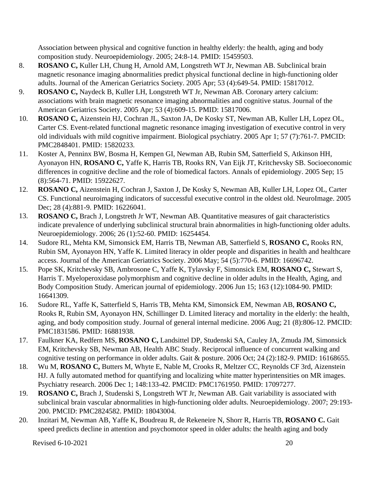Association between physical and cognitive function in healthy elderly: the health, aging and body composition study. Neuroepidemiology. 2005; 24:8-14. PMID: 15459503.

- 8. **ROSANO C,** Kuller LH, Chung H, Arnold AM, Longstreth WT Jr, Newman AB. Subclinical brain magnetic resonance imaging abnormalities predict physical functional decline in high-functioning older adults. Journal of the American Geriatrics Society. 2005 Apr; 53 (4):649-54. PMID: 15817012.
- 9. **ROSANO C,** Naydeck B, Kuller LH, Longstreth WT Jr, Newman AB. Coronary artery calcium: associations with brain magnetic resonance imaging abnormalities and cognitive status. Journal of the American Geriatrics Society. 2005 Apr; 53 (4):609-15. PMID: 15817006.
- 10. **ROSANO C,** Aizenstein HJ, Cochran JL, Saxton JA, De Kosky ST, Newman AB, Kuller LH, Lopez OL, Carter CS. Event-related functional magnetic resonance imaging investigation of executive control in very old individuals with mild cognitive impairment. Biological psychiatry. 2005 Apr 1; 57 (7):761-7. PMCID: PMC2848401. PMID: 15820233.
- 11. Koster A, Penninx BW, Bosma H, Kempen GI, Newman AB, Rubin SM, Satterfield S, Atkinson HH, Ayonayon HN, **ROSANO C,** Yaffe K, Harris TB, Rooks RN, Van Eijk JT, Kritchevsky SB. Socioeconomic differences in cognitive decline and the role of biomedical factors. Annals of epidemiology. 2005 Sep; 15 (8):564-71. PMID: 15922627.
- 12. **ROSANO C,** Aizenstein H, Cochran J, Saxton J, De Kosky S, Newman AB, Kuller LH, Lopez OL, Carter CS. Functional neuroimaging indicators of successful executive control in the oldest old. NeuroImage. 2005 Dec; 28 (4):881-9. PMID: 16226041.
- 13. **ROSANO C,** Brach J, Longstreth Jr WT, Newman AB. Quantitative measures of gait characteristics indicate prevalence of underlying subclinical structural brain abnormalities in high-functioning older adults. Neuroepidemiology. 2006; 26 (1):52-60. PMID: 16254454.
- 14. Sudore RL, Mehta KM, Simonsick EM, Harris TB, Newman AB, Satterfield S, **ROSANO C,** Rooks RN, Rubin SM, Ayonayon HN, Yaffe K. Limited literacy in older people and disparities in health and healthcare access. Journal of the American Geriatrics Society. 2006 May; 54 (5):770-6. PMID: 16696742.
- 15. Pope SK, Kritchevsky SB, Ambrosone C, Yaffe K, Tylavsky F, Simonsick EM, **ROSANO C,** Stewart S, Harris T. Myeloperoxidase polymorphism and cognitive decline in older adults in the Health, Aging, and Body Composition Study. American journal of epidemiology. 2006 Jun 15; 163 (12):1084-90. PMID: 16641309.
- 16. Sudore RL, Yaffe K, Satterfield S, Harris TB, Mehta KM, Simonsick EM, Newman AB, **ROSANO C,** Rooks R, Rubin SM, Ayonayon HN, Schillinger D. Limited literacy and mortality in the elderly: the health, aging, and body composition study. Journal of general internal medicine. 2006 Aug; 21 (8):806-12. PMCID: PMC1831586. PMID: 16881938.
- 17. Faulkner KA, Redfern MS, **ROSANO C,** Landsittel DP, Studenski SA, Cauley JA, Zmuda JM, Simonsick EM, Kritchevsky SB, Newman AB, Health ABC Study. Reciprocal influence of concurrent walking and cognitive testing on performance in older adults. Gait & posture. 2006 Oct; 24 (2):182-9. PMID: 16168655.
- 18. Wu M, **ROSANO C,** Butters M, Whyte E, Nable M, Crooks R, Meltzer CC, Reynolds CF 3rd, Aizenstein HJ. A fully automated method for quantifying and localizing white matter hyperintensities on MR images. Psychiatry research. 2006 Dec 1; 148:133-42. PMCID: PMC1761950. PMID: 17097277.
- 19. **ROSANO C,** Brach J, Studenski S, Longstreth WT Jr, Newman AB. Gait variability is associated with subclinical brain vascular abnormalities in high-functioning older adults. Neuroepidemiology. 2007; 29:193- 200. PMCID: PMC2824582. PMID: 18043004.
- 20. Inzitari M, Newman AB, Yaffe K, Boudreau R, de Rekeneire N, Shorr R, Harris TB, **ROSANO C.** Gait speed predicts decline in attention and psychomotor speed in older adults: the health aging and body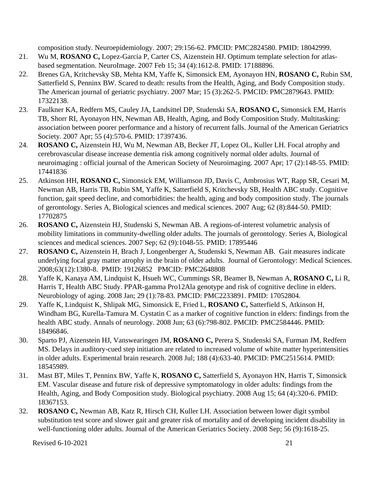composition study. Neuroepidemiology. 2007; 29:156-62. PMCID: PMC2824580. PMID: 18042999.

- 21. Wu M, **ROSANO C,** Lopez-Garcia P, Carter CS, Aizenstein HJ. Optimum template selection for atlasbased segmentation. NeuroImage. 2007 Feb 15; 34 (4):1612-8. PMID: 17188896.
- 22. Brenes GA, Kritchevsky SB, Mehta KM, Yaffe K, Simonsick EM, Ayonayon HN, **ROSANO C,** Rubin SM, Satterfield S, Penninx BW. Scared to death: results from the Health, Aging, and Body Composition study. The American journal of geriatric psychiatry. 2007 Mar; 15 (3):262-5. PMCID: PMC2879643. PMID: 17322138.
- 23. Faulkner KA, Redfern MS, Cauley JA, Landsittel DP, Studenski SA, **ROSANO C,** Simonsick EM, Harris TB, Shorr RI, Ayonayon HN, Newman AB, Health, Aging, and Body Composition Study. Multitasking: association between poorer performance and a history of recurrent falls. Journal of the American Geriatrics Society. 2007 Apr; 55 (4):570-6. PMID: 17397436.
- 24. **ROSANO C,** Aizenstein HJ, Wu M, Newman AB, Becker JT, Lopez OL, Kuller LH. Focal atrophy and cerebrovascular disease increase dementia risk among cognitively normal older adults. Journal of neuroimaging : official journal of the American Society of Neuroimaging. 2007 Apr; 17 (2):148-55. PMID: 17441836
- 25. Atkinson HH, **ROSANO C,** Simonsick EM, Williamson JD, Davis C, Ambrosius WT, Rapp SR, Cesari M, Newman AB, Harris TB, Rubin SM, Yaffe K, Satterfield S, Kritchevsky SB, Health ABC study. Cognitive function, gait speed decline, and comorbidities: the health, aging and body composition study. The journals of gerontology. Series A, Biological sciences and medical sciences. 2007 Aug; 62 (8):844-50. PMID: 17702875
- 26. **ROSANO C,** Aizenstein HJ, Studenski S, Newman AB. A regions-of-interest volumetric analysis of mobility limitations in community-dwelling older adults. The journals of gerontology. Series A, Biological sciences and medical sciences. 2007 Sep; 62 (9):1048-55. PMID: 17895446
- 27. **ROSANO C,** Aizenstein H, Brach J, Longenberger A, Studenski S, Newman AB. Gait measures indicate underlying focal gray matter atrophy in the brain of older adults. Journal of Gerontology: Medical Sciences. 2008;63(12):1380-8. PMID: 19126852 PMCID: PMC2648808
- 28. Yaffe K, Kanaya AM, Lindquist K, Hsueh WC, Cummings SR, Beamer B, Newman A, **ROSANO C,** Li R, Harris T, Health ABC Study. PPAR-gamma Pro12Ala genotype and risk of cognitive decline in elders. Neurobiology of aging. 2008 Jan; 29 (1):78-83. PMCID: PMC2233891. PMID: 17052804.
- 29. Yaffe K, Lindquist K, Shlipak MG, Simonsick E, Fried L, **ROSANO C,** Satterfield S, Atkinson H, Windham BG, Kurella-Tamura M. Cystatin C as a marker of cognitive function in elders: findings from the health ABC study. Annals of neurology. 2008 Jun; 63 (6):798-802. PMCID: PMC2584446. PMID: 18496846.
- 30. Sparto PJ, Aizenstein HJ, Vanswearingen JM, **ROSANO C,** Perera S, Studenski SA, Furman JM, Redfern MS. Delays in auditory-cued step initiation are related to increased volume of white matter hyperintensities in older adults. Experimental brain research. 2008 Jul; 188 (4):633-40. PMCID: PMC2515614. PMID: 18545989.
- 31. Mast BT, Miles T, Penninx BW, Yaffe K, **ROSANO C,** Satterfield S, Ayonayon HN, Harris T, Simonsick EM. Vascular disease and future risk of depressive symptomatology in older adults: findings from the Health, Aging, and Body Composition study. Biological psychiatry. 2008 Aug 15; 64 (4):320-6. PMID: 18367153.
- 32. **ROSANO C,** Newman AB, Katz R, Hirsch CH, Kuller LH. Association between lower digit symbol substitution test score and slower gait and greater risk of mortality and of developing incident disability in well-functioning older adults. Journal of the American Geriatrics Society. 2008 Sep; 56 (9):1618-25.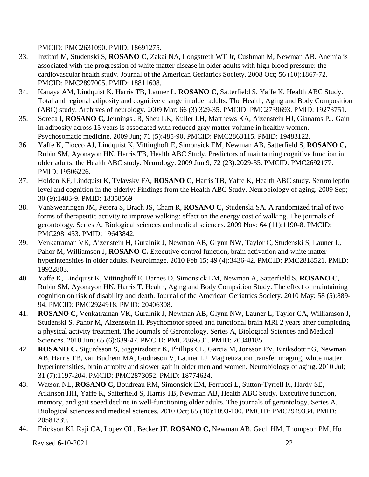PMCID: PMC2631090. PMID: 18691275.

- 33. Inzitari M, Studenski S, **ROSANO C,** Zakai NA, Longstreth WT Jr, Cushman M, Newman AB. Anemia is associated with the progression of white matter disease in older adults with high blood pressure: the cardiovascular health study. Journal of the American Geriatrics Society. 2008 Oct; 56 (10):1867-72. PMCID: PMC2897005. PMID: 18811608.
- 34. Kanaya AM, Lindquist K, Harris TB, Launer L, **ROSANO C,** Satterfield S, Yaffe K, Health ABC Study. Total and regional adiposity and cognitive change in older adults: The Health, Aging and Body Composition (ABC) study. Archives of neurology. 2009 Mar; 66 (3):329-35. PMCID: PMC2739693. PMID: 19273751.
- 35. Soreca I, **ROSANO C,** Jennings JR, Sheu LK, Kuller LH, Matthews KA, Aizenstein HJ, Gianaros PJ. Gain in adiposity across 15 years is associated with reduced gray matter volume in healthy women. Psychosomatic medicine. 2009 Jun; 71 (5):485-90. PMCID: PMC2863115. PMID: 19483122.
- 36. Yaffe K, Fiocco AJ, Lindquist K, Vittinghoff E, Simonsick EM, Newman AB, Satterfield S, **ROSANO C,** Rubin SM, Ayonayon HN, Harris TB, Health ABC Study. Predictors of maintaining cognitive function in older adults: the Health ABC study. Neurology. 2009 Jun 9; 72 (23):2029-35. PMCID: PMC2692177. PMID: 19506226.
- 37. Holden KF, Lindquist K, Tylavsky FA, **ROSANO C,** Harris TB, Yaffe K, Health ABC study. Serum leptin level and cognition in the elderly: Findings from the Health ABC Study. Neurobiology of aging. 2009 Sep; 30 (9):1483-9. PMID: 18358569
- 38. VanSwearingen JM, Perera S, Brach JS, Cham R, **ROSANO C,** Studenski SA. A randomized trial of two forms of therapeutic activity to improve walking: effect on the energy cost of walking. The journals of gerontology. Series A, Biological sciences and medical sciences. 2009 Nov; 64 (11):1190-8. PMCID: PMC2981453. PMID: 19643842.
- 39. Venkatraman VK, Aizenstein H, Guralnik J, Newman AB, Glynn NW, Taylor C, Studenski S, Launer L, Pahor M, Williamson J, **ROSANO C.** Executive control function, brain activation and white matter hyperintensities in older adults. NeuroImage. 2010 Feb 15; 49 (4):3436-42. PMCID: PMC2818521. PMID: 19922803.
- 40. Yaffe K, Lindquist K, Vittinghoff E, Barnes D, Simonsick EM, Newman A, Satterfield S, **ROSANO C,** Rubin SM, Ayonayon HN, Harris T, Health, Aging and Body Compsition Study. The effect of maintaining cognition on risk of disability and death. Journal of the American Geriatrics Society. 2010 May; 58 (5):889- 94. PMCID: PMC2924918. PMID: 20406308.
- 41. **ROSANO C,** Venkatraman VK, Guralnik J, Newman AB, Glynn NW, Launer L, Taylor CA, Williamson J, Studenski S, Pahor M, Aizenstein H. Psychomotor speed and functional brain MRI 2 years after completing a physical activity treatment. The Journals of Gerontology. Series A, Biological Sciences and Medical Sciences. 2010 Jun; 65 (6):639-47. PMCID: PMC2869531. PMID: 20348185.
- 42. **ROSANO C,** Sigurdsson S, Siggeirsdottir K, Phillips CL, Garcia M, Jonsson PV, Eiriksdottir G, Newman AB, Harris TB, van Buchem MA, Gudnason V, Launer LJ. Magnetization transfer imaging, white matter hyperintensities, brain atrophy and slower gait in older men and women. Neurobiology of aging. 2010 Jul; 31 (7):1197-204. PMCID: PMC2873052. PMID: 18774624.
- 43. Watson NL, **ROSANO C,** Boudreau RM, Simonsick EM, Ferrucci L, Sutton-Tyrrell K, Hardy SE, Atkinson HH, Yaffe K, Satterfield S, Harris TB, Newman AB, Health ABC Study. Executive function, memory, and gait speed decline in well-functioning older adults. The journals of gerontology. Series A, Biological sciences and medical sciences. 2010 Oct; 65 (10):1093-100. PMCID: PMC2949334. PMID: 20581339.
- 44. Erickson KI, Raji CA, Lopez OL, Becker JT, **ROSANO C,** Newman AB, Gach HM, Thompson PM, Ho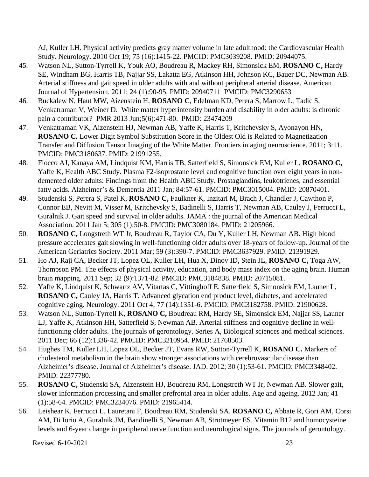AJ, Kuller LH. Physical activity predicts gray matter volume in late adulthood: the Cardiovascular Health Study. Neurology. 2010 Oct 19; 75 (16):1415-22. PMCID: PMC3039208. PMID: 20944075.

- 45. Watson NL, Sutton-Tyrrell K, Youk AO, Boudreau R, Mackey RH, Simonsick EM, **ROSANO C,** Hardy SE, Windham BG, Harris TB, Najjar SS, Lakatta EG, Atkinson HH, Johnson KC, Bauer DC, Newman AB. Arterial stiffness and gait speed in older adults with and without peripheral arterial disease. American Journal of Hypertension. 2011; 24 (1):90-95. PMID: 20940711 PMCID: PMC3290653
- 46. Buckalew N, Haut MW, Aizenstein H, **ROSANO C**, Edelman KD, Perera S, Marrow L, Tadic S, Venkatraman V, Weiner D. White matter hyperintensity burden and disability in older adults: is chronic pain a contributor? PMR 2013 Jun;5(6):471-80. PMID: 23474209
- 47. Venkatraman VK, Aizenstein HJ, Newman AB, Yaffe K, Harris T, Kritchevsky S, Ayonayon HN, **ROSANO C.** Lower Digit Symbol Substitution Score in the Oldest Old is Related to Magnetization Transfer and Diffusion Tensor Imaging of the White Matter. Frontiers in aging neuroscience. 2011; 3:11. PMCID: PMC3180637. PMID: 21991255.
- 48. Fiocco AJ, Kanaya AM, Lindquist KM, Harris TB, Satterfield S, Simonsick EM, Kuller L, **ROSANO C,** Yaffe K, Health ABC Study. Plasma F2-isoprostane level and cognitive function over eight years in nondemented older adults: Findings from the Health ABC Study. Prostaglandins, leukotrienes, and essential fatty acids. Alzheimer's & Dementia 2011 Jan; 84:57-61. PMCID: PMC3015004. PMID: 20870401.
- 49. Studenski S, Perera S, Patel K, **ROSANO C,** Faulkner K, Inzitari M, Brach J, Chandler J, Cawthon P, Connor EB, Nevitt M, Visser M, Kritchevsky S, Badinelli S, Harris T, Newman AB, Cauley J, Ferrucci L, Guralnik J. Gait speed and survival in older adults. JAMA : the journal of the American Medical Association. 2011 Jan 5; 305 (1):50-8. PMCID: PMC3080184. PMID: 21205966.
- 50. **ROSANO C,** Longstreth WT Jr, Boudreau R, Taylor CA, Du Y, Kuller LH, Newman AB. High blood pressure accelerates gait slowing in well-functioning older adults over 18-years of follow-up. Journal of the American Geriatrics Society. 2011 Mar; 59 (3):390-7. PMCID: PMC3637929. PMID: 21391929.
- 51. Ho AJ, Raji CA, Becker JT, Lopez OL, Kuller LH, Hua X, Dinov ID, Stein JL, **ROSANO C,** Toga AW, Thompson PM. The effects of physical activity, education, and body mass index on the aging brain. Human brain mapping. 2011 Sep; 32 (9):1371-82. PMCID: PMC3184838. PMID: 20715081.
- 52. Yaffe K, Lindquist K, Schwartz AV, Vitartas C, Vittinghoff E, Satterfield S, Simonsick EM, Launer L, **ROSANO C,** Cauley JA, Harris T. Advanced glycation end product level, diabetes, and accelerated cognitive aging. Neurology. 2011 Oct 4; 77 (14):1351-6. PMCID: PMC3182758. PMID: 21900628.
- 53. Watson NL, Sutton-Tyrrell K, **ROSANO C,** Boudreau RM, Hardy SE, Simonsick EM, Najjar SS, Launer LJ, Yaffe K, Atkinson HH, Satterfield S, Newman AB. Arterial stiffness and cognitive decline in wellfunctioning older adults. The journals of gerontology. Series A, Biological sciences and medical sciences. 2011 Dec; 66 (12):1336-42. PMCID: PMC3210954. PMID: 21768503.
- 54. Hughes TM, Kuller LH, Lopez OL, Becker JT, Evans RW, Sutton-Tyrrell K, **ROSANO C.** Markers of cholesterol metabolism in the brain show stronger associations with cerebrovascular disease than Alzheimer's disease. Journal of Alzheimer's disease. JAD. 2012; 30 (1):53-61. PMCID: PMC3348402. PMID: 22377780.
- 55. **ROSANO C,** Studenski SA, Aizenstein HJ, Boudreau RM, Longstreth WT Jr, Newman AB. Slower gait, slower information processing and smaller prefrontal area in older adults. Age and ageing. 2012 Jan; 41 (1):58-64. PMCID: PMC3234076. PMID: 21965414.
- 56. Leishear K, Ferrucci L, Lauretani F, Boudreau RM, Studenski SA, **ROSANO C,** Abbate R, Gori AM, Corsi AM, Di Iorio A, Guralnik JM, Bandinelli S, Newman AB, Strotmeyer ES. Vitamin B12 and homocysteine levels and 6-year change in peripheral nerve function and neurological signs. The journals of gerontology.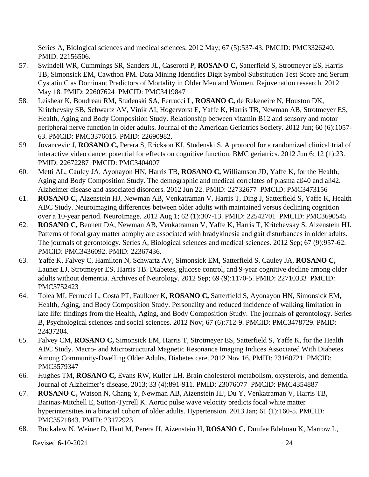Series A, Biological sciences and medical sciences. 2012 May; 67 (5):537-43. PMCID: PMC3326240. PMID: 22156506.

- 57. Swindell WR, Cummings SR, Sanders JL, Caserotti P, **ROSANO C,** Satterfield S, Strotmeyer ES, Harris TB, Simonsick EM, Cawthon PM. Data Mining Identifies Digit Symbol Substitution Test Score and Serum Cystatin C as Dominant Predictors of Mortality in Older Men and Women. Rejuvenation research. 2012 May 18. PMID: 22607624 PMCID: PMC3419847
- 58. Leishear K, Boudreau RM, Studenski SA, Ferrucci L, **ROSANO C,** de Rekeneire N, Houston DK, Kritchevsky SB, Schwartz AV, Vinik AI, Hogervorst E, Yaffe K, Harris TB, Newman AB, Strotmeyer ES, Health, Aging and Body Composition Study. Relationship between vitamin B12 and sensory and motor peripheral nerve function in older adults. Journal of the American Geriatrics Society. 2012 Jun; 60 (6):1057- 63. PMCID: PMC3376015. PMID: 22690982.
- 59. Jovancevic J, **ROSANO C,** Perera S, Erickson KI, Studenski S. A protocol for a randomized clinical trial of interactive video dance: potential for effects on cognitive function. BMC geriatrics. 2012 Jun 6; 12 (1):23. PMID: 22672287 PMCID: PMC3404007
- 60. Metti AL, Cauley JA, Ayonayon HN, Harris TB, **ROSANO C,** Williamson JD, Yaffe K, for the Health, Aging and Body Composition Study. The demographic and medical correlates of plasma aß40 and aß42. Alzheimer disease and associated disorders. 2012 Jun 22. PMID: 22732677 PMCID: PMC3473156
- 61. **ROSANO C,** Aizenstein HJ, Newman AB, Venkatraman V, Harris T, Ding J, Satterfield S, Yaffe K, Health ABC Study. Neuroimaging differences between older adults with maintained versus declining cognition over a 10-year period. NeuroImage. 2012 Aug 1; 62 (1):307-13. PMID: 22542701 PMCID: PMC3690545
- 62. **ROSANO C,** Bennett DA, Newman AB, Venkatraman V, Yaffe K, Harris T, Kritchevsky S, Aizenstein HJ. Patterns of focal gray matter atrophy are associated with bradykinesia and gait disturbances in older adults. The journals of gerontology. Series A, Biological sciences and medical sciences. 2012 Sep; 67 (9):957-62. PMCID: PMC3436092. PMID: 22367436.
- 63. Yaffe K, Falvey C, Hamilton N, Schwartz AV, Simonsick EM, Satterfield S, Cauley JA, **ROSANO C,** Launer LJ, Strotmeyer ES, Harris TB. Diabetes, glucose control, and 9-year cognitive decline among older adults without dementia. Archives of Neurology. 2012 Sep; 69 (9):1170-5. PMID: 22710333 PMCID: PMC3752423
- 64. Tolea MI, Ferrucci L, Costa PT, Faulkner K, **ROSANO C,** Satterfield S, Ayonayon HN, Simonsick EM, Health, Aging, and Body Composition Study. Personality and reduced incidence of walking limitation in late life: findings from the Health, Aging, and Body Composition Study. The journals of gerontology. Series B, Psychological sciences and social sciences. 2012 Nov; 67 (6):712-9. PMCID: PMC3478729. PMID: 22437204.
- 65. Falvey CM, **ROSANO C,** Simonsick EM, Harris T, Strotmeyer ES, Satterfield S, Yaffe K, for the Health ABC Study. Macro- and Microstructural Magnetic Resonance Imaging Indices Associated With Diabetes Among Community-Dwelling Older Adults. Diabetes care. 2012 Nov 16. PMID: 23160721 PMCID: PMC3579347
- 66. Hughes TM, **ROSANO C,** Evans RW, Kuller LH. Brain cholesterol metabolism, oxysterols, and dementia. Journal of Alzheimer's disease, 2013; 33 (4):891-911. PMID: 23076077 PMCID: PMC4354887
- 67. **ROSANO C,** Watson N, Chang Y, Newman AB, Aizenstein HJ, Du Y, Venkatraman V, Harris TB, Barinas-Mitchell E, Sutton-Tyrrell K. Aortic pulse wave velocity predicts focal white matter hyperintensities in a biracial cohort of older adults. Hypertension. 2013 Jan; 61 (1):160-5. PMCID: PMC3521843. PMID: 23172923
- 68. Buckalew N, Weiner D, Haut M, Perera H, Aizenstein H, **ROSANO C,** Dunfee Edelman K, Marrow L,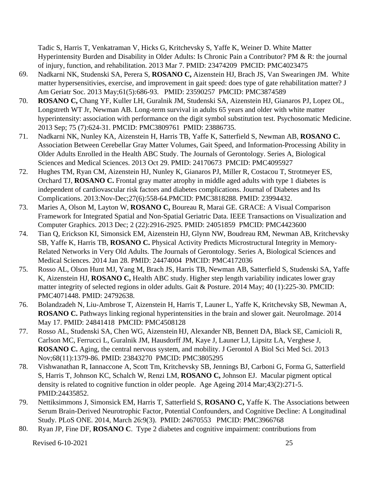Tadic S, Harris T, Venkatraman V, Hicks G, Kritchevsky S, Yaffe K, Weiner D. White Matter Hyperintensity Burden and Disability in Older Adults: Is Chronic Pain a Contributor? PM & R: the journal of injury, function, and rehabilitation. 2013 Mar 7. PMID: 23474209 PMCID: PMC4023475

- 69. Nadkarni NK, Studenski SA, Perera S, **ROSANO C,** Aizenstein HJ, Brach JS, Van Swearingen JM. White matter hypersensitivies, exercise, and improvement in gait speed: does type of gate rehabilitation matter? J Am Geriatr Soc. 2013 May;61(5):686-93. PMID: 23590257 PMCID: PMC3874589
- 70. **ROSANO C,** Chang YF, Kuller LH, Guralnik JM, Studenski SA, Aizenstein HJ, Gianaros PJ, Lopez OL, Longstreth WT Jr, Newman AB. Long-term survival in adults 65 years and older with white matter hyperintensity: association with performance on the digit symbol substitution test. Psychosomatic Medicine. 2013 Sep; 75 (7):624-31. PMCID: PMC3809761 PMID: 23886735.
- 71. Nadkarni NK, Nunley KA, Aizenstein H, Harris TB, Yaffe K, Satterfield S, Newman AB, **ROSANO C.** Association Between Cerebellar Gray Matter Volumes, Gait Speed, and Information-Processing Ability in Older Adults Enrolled in the Health ABC Study. The Journals of Gerontology. Series A, Biological Sciences and Medical Sciences. 2013 Oct 29. PMID: 24170673 PMCID: PMC4095927
- 72. Hughes TM, Ryan CM, Aizenstein HJ, Nunley K, Gianaros PJ, Miller R, Costacou T, Strotmeyer ES, Orchard TJ, **ROSANO C.** Frontal gray matter atrophy in middle aged adults with type 1 diabetes is independent of cardiovascular risk factors and diabetes complications. Journal of Diabetes and Its Complications. 2013:Nov-Dec;27(6):558-64.PMCID: PMC3818288. PMID: 23994432.
- 73. Maries A, Olson M, Layton W, **ROSANO C,** Boureau R, Marai GE. GRACE: A Visual Comparison Framework for Integrated Spatial and Non-Spatial Geriatric Data. IEEE Transactions on Visualization and Computer Graphics. 2013 Dec; 2 (22):2916-2925. PMID: 24051859 PMCID: PMC4423600
- 74. Tian Q, Erickson KI, Simonsick EM, Aizenstein HJ, Glynn NW, Boudreau RM, Newman AB, Kritchevsky SB, Yaffe K, Harris TB, **ROSANO C.** Physical Activity Predicts Microstructural Integrity in Memory-Related Networks in Very Old Adults. The Journals of Gerontology. Series A, Biological Sciences and Medical Sciences. 2014 Jan 28. PMID: 24474004 PMCID: PMC4172036
- 75. Rosso AL, Olson Hunt MJ, Yang M, Brach JS, Harris TB, Newman AB, Satterfield S, Studenski SA, Yaffe K, Aizenstein HJ, **ROSANO C,** Health ABC study. Higher step length variability indicates lower gray matter integrity of selected regions in older adults. Gait & Posture. 2014 May; 40 (1):225-30. PMCID: PMC4071448. PMID: 24792638.
- 76. Bolandzadeh N, Liu-Ambrose T, Aizenstein H, Harris T, Launer L, Yaffe K, Kritchevsky SB, Newman A, **ROSANO C.** Pathways linking regional hyperintensities in the brain and slower gait. NeuroImage. 2014 May 17. PMID: 24841418 PMCID: PMC4508128
- 77. Rosso AL, Studenski SA, Chen WG, Aizenstein HJ, Alexander NB, Bennett DA, Black SE, Camicioli R, Carlson MC, Ferrucci L, Guralnik JM, Hausdorff JM, Kaye J, Launer LJ, Lipsitz LA, Verghese J, **ROSANO C.** Aging, the central nervous system, and mobility. J Gerontol A Biol Sci Med Sci. 2013 Nov;68(11):1379-86. PMID: 23843270 PMCID: PMC3805295
- 78. Vishwanathan R, Iannaccone A, Scott Tm, Kritchevsky SB, Jennings BJ, Carboni G, Forma G, Satterfield S, Harris T, Johnson KC, Schalch W, Renzi LM, **ROSANO C,** Johnson EJ. Macular pigment optical density is related to cognitive function in older people. Age Ageing 2014 Mar;43(2):271-5. PMID:24435852.
- 79. Nettiksimmons J, Simonsick EM, Harris T, Satterfield S, **ROSANO C,** Yaffe K. The Associations between Serum Brain-Derived Neurotrophic Factor, Potential Confounders, and Cognitive Decline: A Longitudinal Study. PLoS ONE. 2014, March 26:9(3). PMID: 24670553 PMCID: PMC3966768
- 80. Ryan JP, Fine DF, **ROSANO C**. Type 2 diabetes and cognitive impairment: contributions from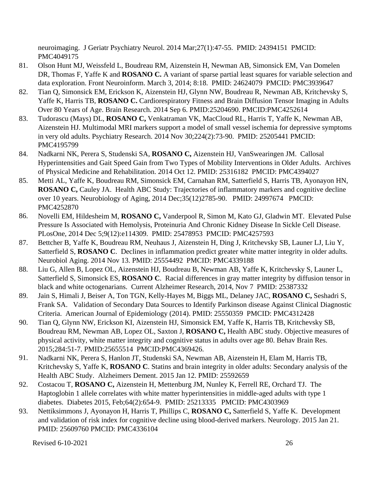neuroimaging. J Geriatr Psychiatry Neurol. 2014 Mar;27(1):47-55. PMID: 24394151 PMCID: PMC4049175

- 81. Olson Hunt MJ, Weissfeld L, Boudreau RM, Aizenstein H, Newman AB, Simonsick EM, Van Domelen DR, Thomas F, Yaffe K and **ROSANO C.** A variant of sparse partial least squares for variable selection and data exploration. Front Neuroinform. March 3, 2014; 8:18. PMID: 24624079 PMCID: PMC3939647
- 82. Tian Q, Simonsick EM, Erickson K, Aizenstein HJ, Glynn NW, Boudreau R, Newman AB, Kritchevsky S, Yaffe K, Harris TB, **ROSANO C.** Cardiorespiratory Fitness and Brain Diffusion Tensor Imaging in Adults Over 80 Years of Age. Brain Research. 2014 Sep 6. PMID:25204690. PMCID:PMC4252614
- 83. Tudorascu (Mays) DL, **ROSANO C,** Venkatraman VK, MacCloud RL, Harris T, Yaffe K, Newman AB, Aizenstein HJ. Multimodal MRI markers support a model of small vessel ischemia for depressive symptoms in very old adults. Psychiatry Research. 2014 Nov 30;224(2):73-90. PMID: 25205441 PMCID: PMC4195799
- 84. Nadkarni NK, Perera S, Studenski SA, **ROSANO C,** Aizenstein HJ, VanSwearingen JM. Callosal Hyperintensities and Gait Speed Gain from Two Types of Mobility Interventions in Older Adults. Archives of Physical Medicine and Rehabilitation. 2014 Oct 12. PMID: 25316182 PMCID: PMC4394027
- 85. Metti AL, Yaffe K, Boudreau RM, Simonsick EM, Carnahan RM, Satterfield S, Harris TB, Ayonayon HN, **ROSANO C, Cauley JA. Health ABC Study: Trajectories of inflammatory markers and cognitive decline** over 10 years. Neurobiology of Aging, 2014 Dec;35(12)2785-90. PMID: 24997674 PMCID: PMC4252870
- 86. Novelli EM, Hildesheim M, **ROSANO C,** Vanderpool R, Simon M, Kato GJ, Gladwin MT. Elevated Pulse Pressure Is Associated with Hemolysis, Proteinuria And Chronic Kidney Disease In Sickle Cell Disease. PLosOne, 2014 Dec 5;9(12):e114309. PMID: 25478953 PMCID: PMC4257593
- 87. Bettcher B, Yaffe K, Boudreau RM, Neuhaus J, Aizenstein H, Ding J, Kritchevsky SB, Launer LJ, Liu Y, Satterfield S, **ROSANO C**. Declines in inflammation predict greater white matter integrity in older adults. Neurobiol Aging. 2014 Nov 13. PMID: 25554492 PMCID: PMC4339188
- 88. Liu G, Allen B, Lopez OL, Aizenstein HJ, Boudreau B, Newman AB, Yaffe K, Kritchevsky S, Launer L, Satterfield S, Simonsick ES, **ROSANO C**. Racial differences in gray matter integrity by diffusion tensor in black and white octogenarians. Current Alzheimer Research, 2014, Nov 7 PMID: 25387332
- 89. Jain S, Himali J, Beiser A, Ton TGN, Kelly-Hayes M, Biggs ML, Delaney JAC, **ROSANO C,** Seshadri S, Frank SA. Validation of Secondary Data Sources to Identify Parkinson disease Against Clinical Diagnostic Criteria. American Journal of Epidemiology (2014). PMID: 25550359 PMCID: PMC4312428
- 90. Tian Q, Glynn NW, Erickson KI, Aizenstein HJ, Simonsick EM, Yaffe K, Harris TB, Kritchevsky SB, Boudreau RM, Newman AB, Lopez OL, Saxton J, **ROSANO C,** Health ABC study. Objective measures of physical activity, white matter integrity and cognitive status in adults over age 80. Behav Brain Res. 2015;284:51-7. PMID:25655514 PMCID:PMC4369426.
- 91. Nadkarni NK, Perera S, Hanlon JT, Studenski SA, Newman AB, Aizenstein H, Elam M, Harris TB, Kritchevsky S, Yaffe K, **ROSANO C**. Statins and brain integrity in older adults: Secondary analysis of the Health ABC Study. Alzheimers Dement. 2015 Jan 12. PMID: 25592659
- 92. Costacou T, **ROSANO C,** Aizenstein H, Mettenburg JM, Nunley K, Ferrell RE, Orchard TJ. The Haptoglobin 1 allele correlates with white matter hyperintensities in middle-aged adults with type 1 diabetes. Diabetes 2015, Feb;64(2):654-9. PMID: 25213335 PMCID: PMC4303969
- 93. Nettiksimmons J, Ayonayon H, Harris T, Phillips C, **ROSANO C,** Satterfield S, Yaffe K. Development and validation of risk index for cognitive decline using blood-derived markers. Neurology. 2015 Jan 21. PMID: 25609760 PMCID: PMC4336104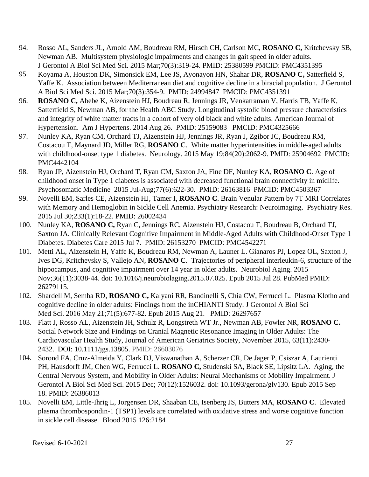- 94. Rosso AL, Sanders JL, Arnold AM, Boudreau RM, Hirsch CH, Carlson MC, **ROSANO C,** Kritchevsky SB, Newman AB. Multisystem physiologic impairments and changes in gait speed in older adults. J Gerontol A Biol Sci Med Sci. 2015 Mar;70(3):319-24. PMID: 25380599 PMCID: PMC4351395
- 95. Koyama A, Houston DK, Simonsick EM, Lee JS, Ayonayon HN, Shahar DR, **ROSANO C,** Satterfield S, Yaffe K. Association between Mediterranean diet and cognitive decline in a biracial population. J Gerontol A Biol Sci Med Sci. 2015 Mar;70(3):354-9. PMID: 24994847 PMCID: PMC4351391
- 96. **ROSANO C,** Abebe K, Aizenstein HJ, Boudreau R, Jennings JR, Venkatraman V, Harris TB, Yaffe K, Satterfield S, Newman AB, for the Health ABC Study. Longitudinal systolic blood pressure characteristics and integrity of white matter tracts in a cohort of very old black and white adults. American Journal of Hypertension. Am J Hypertens. 2014 Aug 26. PMID: 25159083 PMCID: PMC4325666
- 97. Nunley KA, Ryan CM, Orchard TJ, Aizenstein HJ, Jennings JR, Ryan J, Zgibor JC, Boudreau RM, Costacou T, Maynard JD, Miller RG, **ROSANO C**. White matter hyperintensities in middle-aged adults with childhood-onset type 1 diabetes. Neurology. 2015 May 19;84(20):2062-9. PMID: 25904692 PMCID: PMC4442104
- 98. Ryan JP, Aizenstein HJ, Orchard T, Ryan CM, Saxton JA, Fine DF, Nunley KA, **ROSANO C**. Age of childhood onset in Type 1 diabetes is associated with decreased functional brain connectivity in midlife. Psychosomatic Medicine 2015 Jul-Aug;77(6):622-30. PMID: 26163816 PMCID: PMC4503367
- 99. Novelli EM, Sarles CE, Aizenstein HJ, Tamer I, **ROSANO C**. Brain Venular Pattern by 7T MRI Correlates with Memory and Hemoglobin in Sickle Cell Anemia. Psychiatry Research: Neuroimaging. Psychiatry Res. 2015 Jul 30;233(1):18-22. PMID: 26002434
- 100. Nunley KA, **ROSANO C,** Ryan C, Jennings RC, Aizenstein HJ, Costacou T, Boudreau B, Orchard TJ, Saxton JA. Clinically Relevant Cognitive Impairment in Middle-Aged Adults with Childhood-Onset Type 1 Diabetes. Diabetes Care 2015 Jul 7. PMID: 26153270 PMCID: PMC4542271
- 101. Metti AL, Aizenstein H, Yaffe K, Boudreau RM, Newman A, Launer L. Gianaros PJ, Lopez OL, Saxton J, Ives DG, Kritchevsky S, Vallejo AN, **ROSANO C**. Trajectories of peripheral interleukin-6, structure of the hippocampus, and cognitive impairment over 14 year in older adults. Neurobiol Aging. 2015 Nov;36(11):3038-44. doi: 10.1016/j.neurobiolaging.2015.07.025. Epub 2015 Jul 28. PubMed PMID: 26279115.
- 102. Shardell M, Semba RD, **ROSANO C,** Kalyani RR, Bandinelli S, Chia CW, Ferrucci L. Plasma Klotho and cognitive decline in older adults: Findings from the inCHIANTI Study. J Gerontol A Biol Sci Med Sci. 2016 May 21;71(5):677-82. Epub 2015 Aug 21. PMID: 26297657
- 103. Flatt J, Rosso AL, Aizenstein JH, Schulz R, Longstreth WT Jr., Newman AB, Fowler NR, **ROSANO C.** Social Network Size and Findings on Cranial Magnetic Resonance Imaging in Older Adults: The Cardiovascular Health Study, Journal of American Geriatrics Society, November 2015, 63(11):2430- 2432. DOI: 10.1111/jgs.13805. PMID: 26603076
- 104. Sorond FA, Cruz-Almeida Y, Clark DJ, Viswanathan A, Scherzer CR, De Jager P, Csiszar A, Laurienti PH, Hausdorff JM, Chen WG, Ferrucci L. **ROSANO C,** Studenski SA, Black SE, Lipsitz LA. Aging, the Central Nervous System, and Mobility in Older Adults: Neural Mechanisms of Mobility Impairment. J Gerontol A Biol Sci Med Sci. 2015 Dec; 70(12):1526032. doi: 10.1093/gerona/glv130. Epub 2015 Sep 18. PMID: 26386013
- 105. Novelli EM, Little-Ihrig L, Jorgensen DR, Shaaban CE, Isenberg JS, Butters MA, **ROSANO C**. Elevated plasma thrombospondin-1 (TSP1) levels are correlated with oxidative stress and worse cognitive function in sickle cell disease. Blood 2015 126:2184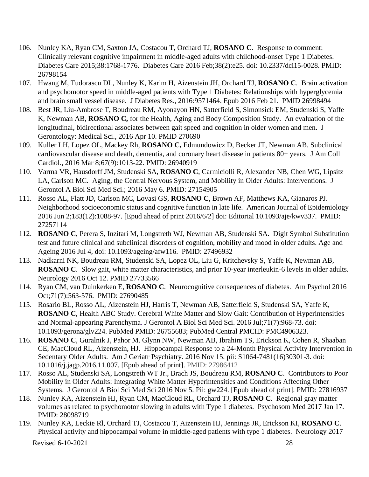- 106. Nunley KA, Ryan CM, Saxton JA, Costacou T, Orchard TJ, **ROSANO C**. Response to comment: Clinically relevant cognitive impairment in middle-aged adults with childhood-onset Type 1 Diabetes. Diabetes Care 2015;38:1768-1776. Diabetes Care 2016 Feb;38(2):e25. doi: 10.2337/dci15-0028. PMID: 26798154
- 107. Hwang M, Tudorascu DL, Nunley K, Karim H, Aizenstein JH, Orchard TJ, **ROSANO C**. Brain activation and psychomotor speed in middle-aged patients with Type 1 Diabetes: Relationships with hyperglycemia and brain small vessel disease. J Diabetes Res., 2016:9571464. Epub 2016 Feb 21. PMID 26998494
- 108. Best JR, Liu-Ambrose T, Boudreau RM, Ayonayon HN, Satterfield S, Simonsick EM, Studenski S, Yaffe K, Newman AB, **ROSANO C,** for the Health, Aging and Body Composition Study. An evaluation of the longitudinal, bidirectional associates between gait speed and cognition in older women and men. J Gerontology: Medical Sci., 2016 Apr 10. PMID 270690
- 109. Kuller LH, Lopez OL, Mackey Rh, **ROSANO C,** Edmundowicz D, Becker JT, Newman AB. Subclinical cardiovascular disease and death, dementia, and coronary heart disease in patients 80+ years. J Am Coll Cardiol., 2016 Mar 8;67(9):1013-22. PMID: 26940919
- 110. Varma VR, Hausdorff JM, Studenski SA, **ROSANO C**, Carmiciolli R, Alexander NB, Chen WG, Lipsitz LA, Carlson MC. Aging, the Central Nervous System, and Mobility in Older Adults: Interventions. J Gerontol A Biol Sci Med Sci.; 2016 May 6. PMID: 27154905
- 111. Rosso AL, Flatt JD, Carlson MC, Lovasi GS, **ROSANO C**, Brown AF, Matthews KA, Gianaros PJ. Neighborhood socioeconomic status and cognitive function in late life. American Journal of Epidemiology 2016 Jun 2;183(12):1088-97. [Epud ahead of print 2016/6/2] doi: Editorial 10.1093/aje/kwv337. PMID: 27257114
- 112. **ROSANO C**, Perera S, Inzitari M, Longstreth WJ, Newman AB, Studenski SA. Digit Symbol Substitution test and future clinical and subclinical disorders of cognition, mobility and mood in older adults. Age and Ageing 2016 Jul 4, doi: 10.1093/ageing/afw116. PMID: 27496932
- 113. Nadkarni NK, Boudreau RM, Studenski SA, Lopez OL, Liu G, Kritchevsky S, Yaffe K, Newman AB, **ROSANO C**. Slow gait, white matter characteristics, and prior 10-year interleukin-6 levels in older adults. Neurology 2016 Oct 12. PMID 27733566
- 114. Ryan CM, van Duinkerken E, **ROSANO C**. Neurocognitive consequences of diabetes. Am Psychol 2016 Oct;71(7):563-576. PMID: 27690485
- 115. Rosario BL, Rosso AL, Aizenstein HJ, Harris T, Newman AB, Satterfield S, Studenski SA, Yaffe K, **ROSANO C**, Health ABC Study. Cerebral White Matter and Slow Gait: Contribution of [Hyperintensities](https://www.ncbi.nlm.nih.gov/pubmed/26755683) and [Normal-appearing](https://www.ncbi.nlm.nih.gov/pubmed/26755683) Parenchyma. J Gerontol A Biol Sci Med Sci. 2016 Jul;71(7):968-73. doi: 10.1093/gerona/glv224. PubMed PMID: 26755683; PubMed Central PMCID: PMC4906323.
- 116. **ROSANO C**, Guralnik J, Pahor M. Glynn NW, Newman AB, Ibrahim TS, Erickson K, Cohen R, Shaaban CE, MacCloud RL, Aizenstein, HJ. Hippocampal Response to a 24-Month Physical Activity Intervention in Sedentary Older Adults. Am J Geriatr Psychiatry. 2016 Nov 15. pii: S1064-7481(16)30301-3. doi: 10.1016/j.jagp.2016.11.007. [Epub ahead of print]. PMID: 27986412
- 117. Rosso AL, Studenski SA, Longstreth WT Jr., Brach JS, Boudreau RM, **ROSANO C**. Contributors to Poor Mobility in Older Adults: Integrating White Matter Hyperintensities and Conditions Affecting Other Systems. J Gerontol A Biol Sci Med Sci 2016 Nov 5. Pii: gw224. [Epub ahead of print]. PMID: 27816937
- 118. Nunley KA, Aizenstein HJ, Ryan CM, MacCloud RL, Orchard TJ, **ROSANO C**. Regional gray matter volumes as related to psychomotor slowing in adults with Type 1 diabetes. Psychosom Med 2017 Jan 17. PMID: 28098719
- 119. Nunley KA, Leckie Rl, Orchard TJ, Costacou T, Aizenstein HJ, Jennings JR, Erickson KI, **ROSANO C**. Physical activity and hippocampal volume in middle-aged patients with type 1 diabetes. Neurology 2017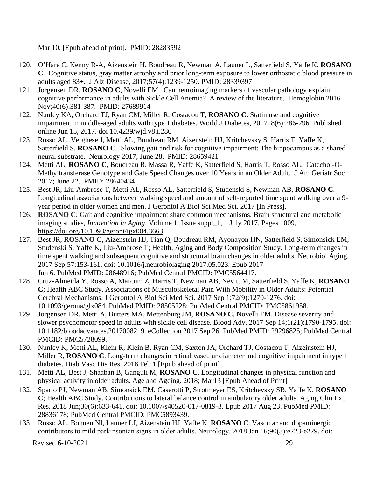Mar 10. [Epub ahead of print]. PMID: 28283592

- 120. O'Hare C, Kenny R-A, Aizenstein H, Boudreau R, Newman A, Launer L, Satterfield S, Yaffe K, **ROSANO C**. Cognitive status, gray matter atrophy and prior long-term exposure to lower orthostatic blood pressure in adults aged 83+. J Alz Disease, 2017;57(4):1239-1250. PMID: 28339397
- 121. Jorgensen DR, **ROSANO C**, Novelli EM. Can neuroimaging markers of vascular pathology explain cognitive performance in adults with Sickle Cell Anemia? A review of the literature. Hemoglobin 2016 Nov;40(6):381-387. PMID: 27689914
- 122. Nunley KA, Orchard TJ, Ryan CM, Miller R, Costacou T, **ROSANO C.** Statin use and cognitive impairment in middle-aged adults with type 1 diabetes. World J Diabetes, 2017. 8(6):286-296. Published online Jun 15, 2017. doi 10.4239/wjd.v8.i.286
- 123. Rosso AL, Verghese J, Metti AL, Boudreau RM, Aizenstein HJ, Kritchevsky S, Harris T, Yaffe K, Satterfield S, **ROSANO C**. Slowing gait and risk for cognitive impairment: The hippocampus as a shared neural substrate. Neurology 2017; June 28. PMID: 28659421
- 124. Metti AL, **ROSANO C**, Boudreau R, Massa R, Yaffe K, Satterfield S, Harris T, Rosso AL. Catechol-O-Methyltransferase Genotype and Gate Speed Changes over 10 Years in an Older Adult. J Am Geriatr Soc 2017; June 22. PMID: 28640434
- 125. Best JR, Liu-Ambrose T, Metti AL, Rosso AL, Satterfield S, Studenski S, Newman AB, **ROSANO C**. Longitudinal associations between walking speed and amount of self-reported time spent walking over a 9 year period in older women and men. J Gerontol A Biol Sci Med Sci. 2017 [In Press].
- 126. **ROSANO C**; Gait and cognitive impairment share common mechanisms. Brain structural and metabolic imaging studies, *Innovation in Aging*, Volume 1, Issue suppl\_1, 1 July 2017, Pages 1009, <https://doi.org/10.1093/geroni/igx004.3663>
- 127. Best JR, **ROSANO C**, Aizenstein HJ, Tian Q, Boudreau RM, Ayonayon HN, Satterfield S, Simonsick EM, Studenski S, Yaffe K, Liu-Ambrose T; Health, Aging and Body Composition Study. Long-term changes in time spent walking and subsequent cognitive and structural brain changes in older adults. Neurobiol Aging. 2017 Sep;57:153-161. doi: 10.1016/j.neurobiolaging.2017.05.023. Epub 2017 Jun 6. PubMed PMID: 28648916; PubMed Central PMCID: PMC5564417.
- 128. Cruz-Almeida Y, Rosso A, Marcum Z, Harris T, Newman AB, Nevitt M, Satterfield S, Yaffe K, **ROSANO C**; Health ABC Study. Associations of Musculoskeletal Pain With Mobility in Older Adults: Potential Cerebral Mechanisms. J Gerontol A Biol Sci Med Sci. 2017 Sep 1;72(9):1270-1276. doi: 10.1093/gerona/glx084. PubMed PMID: 28505228; PubMed Central PMCID: PMC5861958.
- 129. Jorgensen DR, Metti A, Butters MA, Mettenburg JM, **ROSANO C**, Novelli EM. Disease severity and slower psychomotor speed in adults with sickle cell disease. Blood Adv. 2017 Sep 14;1(21):1790-1795. doi: 10.1182/bloodadvances.2017008219. eCollection 2017 Sep 26. PubMed PMID: 29296825; PubMed Central PMCID: PMC5728099.
- 130. Nunley K, Metti AL, Klein R, Klein B, Ryan CM, Saxton JA, Orchard TJ, Costacou T, Aizeinstein HJ, Miller R, **ROSANO C**. Long-term changes in retinal vascular diameter and cognitive impairment in type 1 diabetes. Diab Vasc Dis Res. 2018 Feb 1 [Epub ahead of print]
- 131. Metti AL, Best J, Shaaban B, Ganguli M, **ROSANO C**. Longitudinal changes in physical function and physical activity in older adults. Age and Ageing. 2018; Mar13 [Epub Ahead of Print]
- 132. Sparto PJ, Newman AB, Simonsick EM, Caserotti P, Strotmeyer ES, Kritchevsky SB, Yaffe K, **ROSANO C**; Health ABC Study. Contributions to lateral balance control in ambulatory older adults. Aging Clin Exp Res. 2018 Jun;30(6):633-641. doi: 10.1007/s40520-017-0819-3. Epub 2017 Aug 23. PubMed PMID: 28836178; PubMed Central PMCID: PMC5893439.
- 133. Rosso AL, Bohnen NI, Launer LJ, Aizenstein HJ, Yaffe K, **ROSANO** C. [Vascular and dopaminergic](https://www.ncbi.nlm.nih.gov/pubmed/29247072)  [contributors to mild parkinsonian signs in older adults.](https://www.ncbi.nlm.nih.gov/pubmed/29247072) Neurology. 2018 Jan 16;90(3):e223-e229. doi: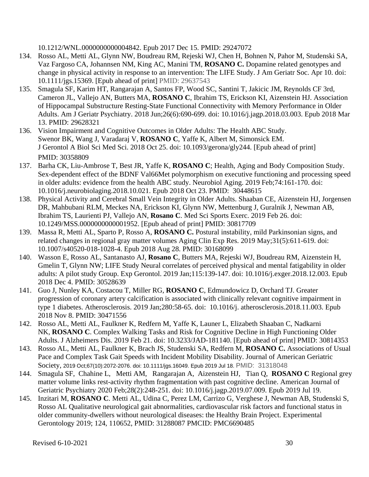10.1212/WNL.0000000000004842. Epub 2017 Dec 15. PMID: 29247072

- 134. Rosso AL, Metti AL, Glynn NW, Boudreau RM, Rejeski WJ, Chen H, Bohnen N, Pahor M, Studenski SA, Vaz Fargoso CA, Johannsen NM, King AC, Manini TM, **ROSANO C.** Dopamine related genotypes and change in physical activity in response to an intervention: The LIFE Study. J Am Geriatr Soc. Apr 10. doi: 10.1111/jgs.15369. [Epub ahead of print] PMID: 29637543
- 135. Smagula SF, Karim HT, Rangarajan A, Santos FP, Wood SC, Santini T, Jakicic JM, Reynolds CF 3rd, Cameron JL, Vallejo AN, Butters MA, **ROSANO C**, Ibrahim TS, Erickson KI, Aizenstein HJ. [Association](https://www.ncbi.nlm.nih.gov/pubmed/29628321)  [of Hippocampal Substructure Resting-State Functional Connectivity with Memory Performance in Older](https://www.ncbi.nlm.nih.gov/pubmed/29628321)  [Adults.](https://www.ncbi.nlm.nih.gov/pubmed/29628321) Am J Geriatr Psychiatry. 2018 Jun;26(6):690-699. doi: 10.1016/j.jagp.2018.03.003. Epub 2018 Mar 13. PMID: 29628321
- 136. [Vision Impairment and Cognitive Outcomes in Older Adults: The Health ABC Study.](https://www.ncbi.nlm.nih.gov/pubmed/30358809) Swenor BK, Wang J, Varadaraj V, **ROSANO C**, Yaffe K, Albert M, Simonsick EM. J Gerontol A Biol Sci Med Sci. 2018 Oct 25. doi: 10.1093/gerona/gly244. [Epub ahead of print] PMID: 30358809
- 137. Barha CK, Liu-Ambrose T, Best JR, Yaffe K, **ROSANO C**; Health, Aging and Body Composition Study. [Sex-dependent effect of the BDNF Val66Met polymorphism on executive functioning and processing speed](https://www.ncbi.nlm.nih.gov/pubmed/30448615)  [in older adults: evidence from the health ABC study.](https://www.ncbi.nlm.nih.gov/pubmed/30448615) Neurobiol Aging. 2019 Feb;74:161-170. doi: 10.1016/j.neurobiolaging.2018.10.021. Epub 2018 Oct 23. PMID: 30448615
- 138. [Physical Activity and Cerebral Small Vein Integrity in Older Adults.](https://www.ncbi.nlm.nih.gov/pubmed/30817709) Shaaban CE, Aizenstein HJ, Jorgensen DR, Mahbubani RLM, Meckes NA, Erickson KI, Glynn NW, Mettenburg J, Guralnik J, Newman AB, Ibrahim TS, Laurienti PJ, Vallejo AN, **Rosano C**. Med Sci Sports Exerc. 2019 Feb 26. doi: 10.1249/MSS.0000000000001952. [Epub ahead of print] PMID: 30817709
- 139. Massa R, Metti AL, Sparto P, Rosso A, **ROSANO C.** Postural instability, mild Parkinsonian signs, and related changes in regional gray matter volumes Aging Clin Exp Res. 2019 May;31(5):611-619. doi: 10.1007/s40520-018-1028-4. Epub 2018 Aug 28. PMID: 30168099
- 140. Wasson E, Rosso AL, Santanasto AJ, **Rosano C**, Butters MA, Rejeski WJ, Boudreau RM, Aizenstein H, Gmelin T, Glynn NW; LIFE Study Neural correlates of perceived physical and mental fatigability in older adults: A pilot study Group. Exp Gerontol. 2019 Jan;115:139-147. doi: 10.1016/j.exger.2018.12.003. Epub 2018 Dec 4. PMID: 30528639
- 141. Guo J, Nunley KA, Costacou T, Miller RG, **ROSANO C**, Edmundowicz D, Orchard TJ. [Greater](https://www.ncbi.nlm.nih.gov/pubmed/30471556)  [progression of coronary artery calcification is associated with clinically relevant cognitive impairment in](https://www.ncbi.nlm.nih.gov/pubmed/30471556)  [type 1 diabetes.](https://www.ncbi.nlm.nih.gov/pubmed/30471556) Atherosclerosis. 2019 Jan;280:58-65. doi: 10.1016/j. atherosclerosis.2018.11.003. Epub 2018 Nov 8. PMID: 30471556
- 142. Rosso AL, Metti AL, Faulkner K, Redfern M, Yaffe K, Launer L, Elizabeth Shaaban C, Nadkarni NK, **ROSANO C**. [Complex Walking Tasks and Risk for Cognitive Decline in High Functioning Older](https://www.ncbi.nlm.nih.gov/pubmed/30814353)  [Adults.](https://www.ncbi.nlm.nih.gov/pubmed/30814353) J Alzheimers Dis. 2019 Feb 21. doi: 10.3233/JAD-181140. [Epub ahead of print] PMID: 30814353
- 143. Rosso AL, Metti AL, Faulkner K, Brach JS, Studenski SA, Redfern M, **ROSANO C.** Associations of Usual Pace and Complex Task Gait Speeds with Incident Mobility Disability. Journal of American Geriatric Society, 2019 Oct;67(10):2072-2076. doi: 10.1111/jgs.16049. Epub 2019 Jul 18. PMID: 31318048
- 144. Smagula SF, Chahine L, Metti AM, Rangarajan A, Aizenstein HJ, Tian Q, **ROSANO C** Regional grey matter volume links rest-activity rhythm fragmentation with past cognitive decline. American Journal of Geriatric Psychiatry 2020 Feb;28(2):248-251. doi: 10.1016/j.jagp.2019.07.009. Epub 2019 Jul 19.
- 145. Inzitari M, **ROSANO C**. Metti AL, Udina C, Perez LM, Carrizo G, Verghese J, Newman AB, Studenski S, Rosso AL Qualitative neurological gait abnormalities, cardiovascular risk factors and functional status in older community-dwellers without neurological diseases: the Healthy Brain Project. Experimental Gerontology 2019; 124, 110652, PMID: 31288087 PMCID: PMC6690485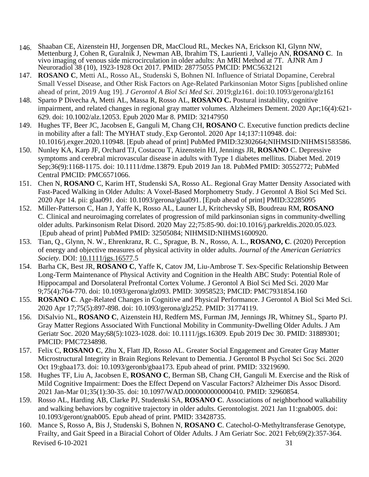- 146. Shaaban CE, Aizenstein HJ, Jorgensen DR, MacCloud RL, Meckes NA, Erickson KI, Glynn NW, Mettenburg J, Cohen R, Guralnik J, Newman AB, Ibrahim TS, Laurienti J, Vallejo AN, **ROSANO C**. In vivo imaging of venous side microcirculation in older adults: An MRI Method at 7T. AJNR Am J Neuroradiol 38 (10), 1923-1928 Oct 2017. PMID: 28775055 PMCID: PMC5632121
- 147. **ROSANO C**, Metti AL, Rosso AL, Studenski S, Bohnen NI. Influence of Striatal Dopamine, Cerebral Small Vessel Disease, and Other Risk Factors on Age-Related Parkinsonian Motor Signs [published online ahead of print, 2019 Aug 19]. *J Gerontol A Biol Sci Med Sci*. 2019;glz161. doi:10.1093/gerona/glz161
- 148. Sparto P Divecha A, Metti AL, Massa R, Rosso AL, **ROSANO C.** Postural instability, cognitive impairment, and related changes in regional gray matter volumes. Alzheimers Dement. 2020 Apr;16(4):621- 629. doi: 10.1002/alz.12053. Epub 2020 Mar 8. PMID: 32147950
- 149. Hughes TF, Beer JC, Jacobsen E, Ganguli M, Chang CH, **ROSANO** C. [Executive function predicts decline](https://www.ncbi.nlm.nih.gov/pubmed/32302664/)  [in mobility after a fall: The MYHAT study.](https://www.ncbi.nlm.nih.gov/pubmed/32302664/) Exp Gerontol. 2020 Apr 14;137:110948. doi: 10.1016/j.exger.2020.110948. [Epub ahead of print] PubMed PMID:32302664;NIHMSID:NIHMS1583586.
- 150. Nunley KA, Karp JF, Orchard TJ, Costacou T, Aizenstein HJ, Jennings JR, **ROSANO** C. [Depressive](https://www.ncbi.nlm.nih.gov/pubmed/30552772/)  [symptoms and cerebral microvascular disease in adults with Type 1 diabetes mellitus.](https://www.ncbi.nlm.nih.gov/pubmed/30552772/) Diabet Med. 2019 Sep;36(9):1168-1175. doi: 10.1111/dme.13879. Epub 2019 Jan 18. PubMed PMID: 30552772; PubMed Central PMCID: PMC6571066.
- 151. Chen N, **ROSANO** C, Karim HT, Studenski SA, Rosso AL. [Regional Gray Matter Density Associated with](https://www.ncbi.nlm.nih.gov/pubmed/32285095)  [Fast-Paced Walking in Older Adults: A Voxel-Based Morphometry Study.](https://www.ncbi.nlm.nih.gov/pubmed/32285095) J Gerontol A Biol Sci Med Sci. 2020 Apr 14. pii: glaa091. doi: 10.1093/gerona/glaa091. [Epub ahead of print] PMID:32285095
- 152. Miller-Patterson C, Han J, Yaffe K, Rosso AL, Launer LJ, Kritchevsky SB, Boudreau RM, **ROSANO** C. [Clinical and neuroimaging correlates of progression of mild parkinsonian signs in community-dwelling](https://www.ncbi.nlm.nih.gov/pubmed/32505084/)  [older adults.](https://www.ncbi.nlm.nih.gov/pubmed/32505084/) Parkinsonism Relat Disord. 2020 May 22;75:85-90. doi:10.1016/j.parkreldis.2020.05.023. [Epub ahead of print] PubMed PMID: 32505084; NIHMSID:NIHMS1600920.
- 153. Tian, Q., Glynn, N. W., Ehrenkranz, R. C., Sprague, B. N., Rosso, A. L., **ROSANO, C**. (2020) Perception of energy and objective measures of physical activity in older adults. *Journal of the American Geriatrics Society.* DOI: [10.1111/jgs.16577.](https://nam05.safelinks.protection.outlook.com/?url=https%3A%2F%2Fdoi.org%2F10.1111%2Fjgs.16577&data=02%7C01%7CMEEHANB%40pitt.edu%7C0bc238d6989444a919dd08d80bb11383%7C9ef9f489e0a04eeb87cc3a526112fd0d%7C1%7C0%7C637272202446248463&sdata=nTtAU9EjBI4eJStz8S8cUeBMDgR3jpmsMXYG0o8MKQI%3D&reserved=0)5
- 154. Barha CK, Best JR, **ROSANO C**, Yaffe K, Catov JM, Liu-Ambrose T. Sex-Specific Relationship Between Long-Term Maintenance of Physical Activity and Cognition in the Health ABC Study: Potential Role of Hippocampal and Dorsolateral Prefrontal Cortex Volume. J Gerontol A Biol Sci Med Sci. 2020 Mar 9;75(4):764-770. doi: 10.1093/gerona/glz093. PMID: 30958523; PMCID: PMC7931854.160
- 155. **ROSANO C**. Age-Related Changes in Cognitive and Physical Performance. J Gerontol A Biol Sci Med Sci. 2020 Apr 17;75(5):897-898. doi: 10.1093/gerona/glz252. PMID: 31774119.
- 156. DiSalvio NL, **ROSANO C**, Aizenstein HJ, Redfern MS, Furman JM, Jennings JR, Whitney SL, Sparto PJ. Gray Matter Regions Associated With Functional Mobility in Community-Dwelling Older Adults. J Am Geriatr Soc. 2020 May;68(5):1023-1028. doi: 10.1111/jgs.16309. Epub 2019 Dec 30. PMID: 31889301; PMCID: PMC7234898.
- 157. Felix C, **ROSANO C**, Zhu X, Flatt JD, Rosso AL. Greater Social Engagement and Greater Gray Matter Microstructural Integrity in Brain Regions Relevant to Dementia. J Gerontol B Psychol Sci Soc Sci. 2020 Oct 19:gbaa173. doi: 10.1093/geronb/gbaa173. Epub ahead of print. PMID: 33219690.
- 158. Hughes TF, Liu A, Jacobsen E, **ROSANO C**, Berman SB, Chang CH, Ganguli M. Exercise and the Risk of Mild Cognitive Impairment: Does the Effect Depend on Vascular Factors? Alzheimer Dis Assoc Disord. 2021 Jan-Mar 01;35(1):30-35. doi: 10.1097/WAD.0000000000000410. PMID: 32960854.
- 159. Rosso AL, Harding AB, Clarke PJ, Studenski SA, **ROSANO C**. Associations of neighborhood walkability and walking behaviors by cognitive trajectory in older adults. Gerontologist. 2021 Jan 11:gnab005. doi: 10.1093/geront/gnab005. Epub ahead of print. PMID: 33428735.
- Revised 6-10-2021 31 160. Mance S, Rosso A, Bis J, Studenski S, Bohnen N, **ROSANO C**. Catechol-O-Methyltransferase Genotype, Frailty, and Gait Speed in a Biracial Cohort of Older Adults. J Am Geriatr Soc. 2021 Feb;69(2):357-364.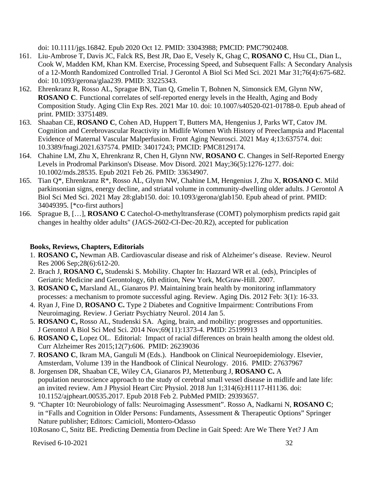doi: 10.1111/jgs.16842. Epub 2020 Oct 12. PMID: 33043988; PMCID: PMC7902408.

- 161. Liu-Ambrose T, Davis JC, Falck RS, Best JR, Dao E, Vesely K, Ghag C, **ROSANO C**, Hsu CL, Dian L, Cook W, Madden KM, Khan KM. Exercise, Processing Speed, and Subsequent Falls: A Secondary Analysis of a 12-Month Randomized Controlled Trial. J Gerontol A Biol Sci Med Sci. 2021 Mar 31;76(4):675-682. doi: 10.1093/gerona/glaa239. PMID: 33225343.
- 162. Ehrenkranz R, Rosso AL, Sprague BN, Tian Q, Gmelin T, Bohnen N, Simonsick EM, Glynn NW, **ROSANO C**. Functional correlates of self-reported energy levels in the Health, Aging and Body Composition Study. Aging Clin Exp Res. 2021 Mar 10. doi: 10.1007/s40520-021-01788-0. Epub ahead of print. PMID: 33751489.
- 163. Shaaban CE, **ROSANO C**, Cohen AD, Huppert T, Butters MA, Hengenius J, Parks WT, Catov JM. Cognition and Cerebrovascular Reactivity in Midlife Women With History of Preeclampsia and Placental Evidence of Maternal Vascular Malperfusion. Front Aging Neurosci. 2021 May 4;13:637574. doi: 10.3389/fnagi.2021.637574. PMID: 34017243; PMCID: PMC8129174.
- 164. Chahine LM, Zhu X, Ehrenkranz R, Chen H, Glynn NW, **ROSANO C**. Changes in Self-Reported Energy Levels in Prodromal Parkinson's Disease. Mov Disord. 2021 May;36(5):1276-1277. doi: 10.1002/mds.28535. Epub 2021 Feb 26. PMID: 33634907.
- 165. Tian Q\*, Ehrenkranz R\*, Rosso AL, Glynn NW, Chahine LM, Hengenius J, Zhu X, **ROSANO C**. Mild parkinsonian signs, energy decline, and striatal volume in community-dwelling older adults. J Gerontol A Biol Sci Med Sci. 2021 May 28:glab150. doi: 10.1093/gerona/glab150. Epub ahead of print. PMID: 34049395. [\*co-first authors]
- 166. Sprague B, […], **ROSANO C** Catechol-O-methyltransferase (COMT) polymorphism predicts rapid gait changes in healthy older adults" (JAGS-2602-CI-Dec-20.R2), accepted for publication

## **Books, Reviews, Chapters, Editorials**

- 1. **ROSANO C,** Newman AB. Cardiovascular disease and risk of Alzheimer's disease. Review. Neurol Res 2006 Sep;28(6):612-20.
- 2. Brach J, **ROSANO C,** Studenski S. Mobility. Chapter In: Hazzard WR et al. (eds), Principles of Geriatric Medicine and Gerontology, 6th edition, New York, McGraw-Hill. 2007.
- 3. **ROSANO C,** Marsland AL, Gianaros PJ. Maintaining brain health by monitoring inflammatory processes: a mechanism to promote successful aging. Review. Aging Dis. 2012 Feb: 3(1): 16-33.
- 4. Ryan J, Fine D, **ROSANO C.** Type 2 Diabetes and Cognitive Impairment: Contributions From Neuroimaging. Review. J Geriatr Psychiatry Neurol. 2014 Jan 5.
- 5. **ROSANO C,** Rosso AL, Studenski SA. Aging, brain, and mobility: progresses and opportunities. J Gerontol A Biol Sci Med Sci. 2014 Nov;69(11):1373-4. PMID: 25199913
- 6. **ROSANO C,** Lopez OL. Editorial: Impact of racial differences on brain health among the oldest old. Curr Alzheimer Res 2015;12(7):606. PMID: 26239036
- 7. **ROSANO C**, Ikram MA, Ganguli M (Eds.). Handbook on Clinical Neuroepidemiology. Elsevier, Amsterdam, Volume 139 in the Handbook of Clinical Neurology. 2016. PMID: 27637967
- 8. Jorgensen DR, Shaaban CE, Wiley CA, Gianaros PJ, Mettenburg J, **ROSANO C.** A population neuroscience approach to the study of cerebral small vessel disease in midlife and late life: an invited review. Am J Physiol Heart Circ Physiol. 2018 Jun 1;314(6):H1117-H1136. doi: 10.1152/ajpheart.00535.2017. Epub 2018 Feb 2. PubMed PMID: 29393657.
- 9. "Chapter 10: Neurobiology of falls: Neuroimaging Assessment". Rosso A, Nadkarni N, **ROSANO C**; in "Falls and Cognition in Older Persons: Fundaments, Assessment & Therapeutic Options" Springer Nature publisher; Editors: Camicioli, Montero-Odasso

10.Rosano C, Snitz BE. Predicting Dementia from Decline in Gait Speed: Are We There Yet? J Am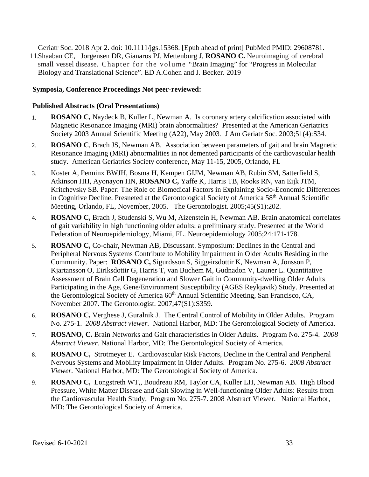Geriatr Soc. 2018 Apr 2. doi: 10.1111/jgs.15368. [Epub ahead of print] PubMed PMID: 29608781. 11.Shaaban CE, Jorgensen DR, Gianaros PJ, Mettenburg J, **ROSANO C.** Neuroimaging of cerebral small vessel disease. Chapter for the volume "Brain Imaging" for "Progress in Molecular Biology and Translational Science". ED A.Cohen and J. Becker. 2019

### **Symposia, Conference Proceedings Not peer-reviewed:**

#### **Published Abstracts (Oral Presentations)**

- 1. **ROSANO C,** Naydeck B, Kuller L, Newman A. Is coronary artery calcification associated with Magnetic Resonance Imaging (MRI) brain abnormalities? Presented at the American Geriatrics Society 2003 Annual Scientific Meeting (A22), May 2003*.* J Am Geriatr Soc*.* 2003;51(4):S34.
- 2. **ROSANO C**, Brach JS, Newman AB. Association between parameters of gait and brain Magnetic Resonance Imaging (MRI) abnormalities in not demented participants of the cardiovascular health study. American Geriatrics Society conference, May 11-15, 2005, Orlando, FL
- 3. Koster A, Penninx BWJH, Bosma H, Kempen GIJM, Newman AB, Rubin SM, Satterfield S, Atkinson HH, Ayonayon HN, **ROSANO C,** Yaffe K, Harris TB, Rooks RN, van Eijk JTM, Kritchevsky SB. Paper: The Role of Biomedical Factors in Explaining Socio-Economic Differences in Cognitive Decline. Presneted at the Gerontological Society of America 58<sup>th</sup> Annual Scientific Meeting, Orlando, FL, November, 2005. The Gerontologist. 2005;45(S1):202.
- 4. **ROSANO C,** Brach J, Studenski S, Wu M, Aizenstein H, Newman AB. Brain anatomical correlates of gait variability in high functioning older adults: a preliminary study. Presented at the World Federation of Neuroepidemiology, Miami, FL. Neuroepidemiology 2005;24:171-178.
- 5. **ROSANO C,** Co-chair, Newman AB, Discussant. Symposium: Declines in the Central and Peripheral Nervous Systems Contribute to Mobility Impairment in Older Adults Residing in the Community. Paper: **ROSANO C,** Sigurdsson S, Siggeirsdottir K, Newman A, Jonsson P, Kjartansson O, Eiriksdottir G, Harris T, van Buchem M, Gudnadon V, Launer L. Quantitative Assessment of Brain Cell Degeneration and Slower Gait in Community-dwelling Older Adults Participating in the Age, Gene/Environment Susceptibility (AGES Reykjavik) Study. Presented at the Gerontological Society of America 60<sup>th</sup> Annual Scientific Meeting, San Francisco, CA, November 2007. The Gerontologist. 2007;47(S1):S359.
- 6. **ROSANO C,** Verghese J, Guralnik J. The Central Control of Mobility in Older Adults. Program No. 275-1. *2008 Abstract viewer.* National Harbor, MD: The Gerontological Society of America.
- 7. **ROSANO, C.** Brain Networks and Gait characteristics in Older Adults. Program No. 275-4. *2008 Abstract Viewer.* National Harbor, MD: The Gerontological Society of America.
- 8. **ROSANO C,** Strotmeyer E. Cardiovascular Risk Factors, Decline in the Central and Peripheral Nervous Systems and Mobility Impairment in Older Adults. Program No. 275-6. *2008 Abstract Viewer.* National Harbor, MD: The Gerontological Society of America.
- 9. **ROSANO C,** Longstreth WT,, Boudreau RM, Taylor CA, Kuller LH, Newman AB. High Blood Pressure, White Matter Disease and Gait Slowing in Well-functioning Older Adults: Results from the Cardiovascular Health Study, Program No. 275-7. 2008 Abstract Viewer. National Harbor, MD: The Gerontological Society of America.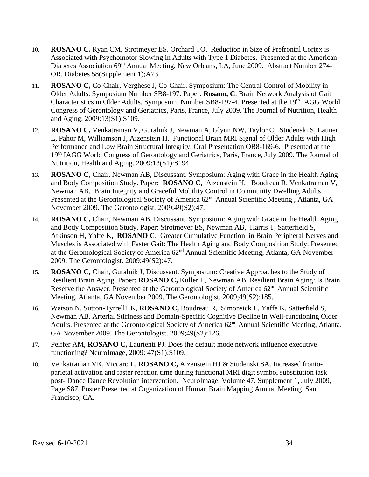- 10. **ROSANO C,** Ryan CM, Strotmeyer ES, Orchard TO. Reduction in Size of Prefrontal Cortex is Associated with Psychomotor Slowing in Adults with Type 1 Diabetes. Presented at the American Diabetes Association 69<sup>th</sup> Annual Meeting, New Orleans, LA, June 2009. Abstract Number 274-OR. Diabetes 58(Supplement 1);A73.
- 11. **ROSANO C,** Co-Chair, Verghese J, Co-Chair. Symposium: The Central Control of Mobility in Older Adults. Symposium Number SB8-197. Paper: **Rosano, C**. Brain Network Analysis of Gait Characteristics in Older Adults. Symposium Number SB8-197-4. Presented at the 19<sup>th</sup> IAGG World Congress of Gerontology and Geriatrics, Paris, France, July 2009. The Journal of Nutrition, Health and Aging. 2009:13(S1):S109.
- 12. **ROSANO C,** Venkatraman V, Guralnik J, Newman A, Glynn NW, Taylor C, Studenski S, Launer L, Pahor M, Williamson J, Aizenstein H. Functional Brain MRI Signal of Older Adults with High Performance and Low Brain Structural Integrity. Oral Presentation OB8-169-6. Presented at the 19<sup>th</sup> IAGG World Congress of Gerontology and Geriatrics, Paris, France, July 2009. The Journal of Nutrition, Health and Aging. 2009:13(S1):S194.
- 13. **ROSANO C,** Chair, Newman AB, Discussant. Symposium: Aging with Grace in the Health Aging and Body Composition Study. Paper**: ROSANO C,** Aizenstein H, Boudreau R, Venkatraman V, Newman AB*,* Brain Integrity and Graceful Mobility Control in Community Dwelling Adults. Presented at the Gerontological Society of America 62<sup>nd</sup> Annual Scientific Meeting, Atlanta, GA November 2009. The Gerontologist. 2009;49(S2):47.
- 14. **ROSANO C,** Chair, Newman AB, Discussant. Symposium: Aging with Grace in the Health Aging and Body Composition Study. Paper: Strotmeyer ES, Newman AB, Harris T, Satterfield S, Atkinson H, Yaffe K, **ROSANO C**. Greater Cumulative Function in Brain Peripheral Nerves and Muscles is Associated with Faster Gait: The Health Aging and Body Composition Study. Presented at the Gerontological Society of America 62nd Annual Scientific Meeting, Atlanta, GA November 2009. The Gerontologist. 2009;49(S2):47.
- 15. **ROSANO C,** Chair, Guralnik J, Discussant. Symposium: Creative Approaches to the Study of Resilient Brain Aging. Paper: **ROSANO C,** Kuller L, Newman AB. Resilient Brain Aging: Is Brain Reserve the Answer. Presented at the Gerontological Society of America 62<sup>nd</sup> Annual Scientific Meeting, Atlanta, GA November 2009. The Gerontologist. 2009;49(S2):185.
- 16. Watson N, Sutton-Tyrrell1 K, **ROSANO C,** Boudreau R, Simonsick E, Yaffe K, Satterfield S, Newman AB. Arterial Stiffness and Domain-Specific Cognitive Decline in Well-functioning Older Adults. Presented at the Gerontological Society of America 62<sup>nd</sup> Annual Scientific Meeting, Atlanta, GA November 2009. The Gerontologist. 2009;49(S2):126.
- 17. Peiffer AM, **ROSANO C,** Laurienti PJ. Does the default mode network influence executive functioning? NeuroImage, 2009: 47(S1);S109.
- 18. Venkatraman VK, Viccaro L, **ROSANO C,** Aizenstein HJ & Studenski SA. Increased frontoparietal activation and faster reaction time during functional MRI digit symbol substitution task post- Dance Dance Revolution intervention. NeuroImage, Volume 47, Supplement 1, July 2009, Page S87, Poster Presented at Organization of Human Brain Mapping Annual Meeting, San Francisco, CA.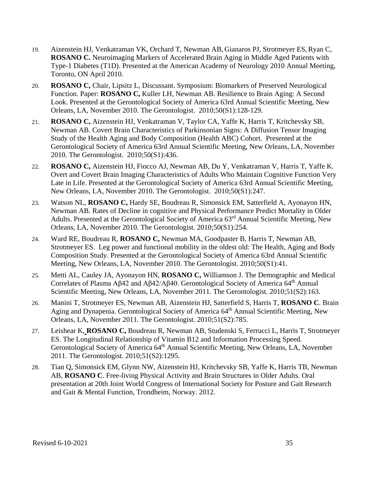- 19. Aizenstein HJ, Venkatraman VK, Orchard T, Newman AB, Gianaros PJ, Strotmeyer ES,Ryan C, **ROSANO C.** Neuroimaging Markers of Accelerated Brain Aging in Middle Aged Patients with Type-1 Diabetes (T1D). Presented at the American Academy of Neurology 2010 Annual Meeting, Toronto, ON April 2010.
- 20. **ROSANO C,** Chair, Lipsitz L, Discussant. Symposium: Biomarkers of Preserved Neurological Function. Paper: **ROSANO C,** Kuller LH, Newman AB. Resilience to Brain Aging: A Second Look. Presented at the Gerontological Society of America 63rd Annual Scientific Meeting, New Orleans, LA, November 2010. The Gerontologist. 2010;50(S1):128-129.
- 21. **ROSANO C,** Aizenstein HJ, Venkatraman V, Taylor CA, Yaffe K, Harris T, Kritchevsky SB, Newman AB. Covert Brain Characteristics of Parkinsonian Signs: A Diffusion Tensor Imaging Study of the Health Aging and Body Composition (Health ABC) Cohort. Presented at the Gerontological Society of America 63rd Annual Scientific Meeting, New Orleans, LA, November 2010. The Gerontologist. 2010;50(S1):436.
- 22. **ROSANO C,** Aizenstein HJ, Fiocco AJ, Newman AB, Du Y, Venkatraman V, Harris T, Yaffe K. Overt and Covert Brain Imaging Characteristics of Adults Who Maintain Cognitive Function Very Late in Life. Presented at the Gerontological Society of America 63rd Annual Scientific Meeting, New Orleans, LA, November 2010. The Gerontologist. 2010;50(S1):247.
- 23. Watson NL, **ROSANO C,** Hardy SE, Boudreau R, Simonsick EM, Satterfield A, Ayonayon HN, Newman AB. Rates of Decline in cognitive and Physical Performance Predict Mortality in Older Adults. Presented at the Gerontological Society of America 63<sup>rd</sup> Annual Scientific Meeting, New Orleans, LA, November 2010. The Gerontologist. 2010;50(S1):254.
- 24. Ward RE, Boudreau R, **ROSANO C,** Newman MA, Goodpaster B, Harris T, Newman AB, Strotmeyer ES. Leg power and functional mobility in the oldest old: The Health, Aging and Body Composition Study. Presented at the Gerontological Society of America 63rd Annual Scientific Meeting, New Orleans, LA, November 2010. The Gerontologist. 2010;50(S1):41.
- 25. Metti AL, Cauley JA, Ayonayon HN, **ROSANO C,** Williamson J. The Demographic and Medical Correlates of Plasma Aβ42 and Aβ42/Aβ40. Gerontological Society of America 64<sup>th</sup> Annual Scientific Meeting, New Orleans, LA, November 2011. The Gerontologist. 2010;51(S2):163.
- 26. Manini T, Strotmeyer ES, Newman AB, Aizenstein HJ, Satterfield S, Harris T, **ROSANO C**. Brain Aging and Dynapenia. Gerontological Society of America 64<sup>th</sup> Annual Scientific Meeting, New Orleans, LA, November 2011. The Gerontologist. 2010;51(S2):785.
- 27. Leishear K, **ROSANO C,** Boudreau R, Newman AB, Studenski S, Ferrucci L, Harris T, Strotmeyer ES. The Longitudinal Relationship of Vitamin B12 and Information Processing Speed. Gerontological Society of America 64<sup>th</sup> Annual Scientific Meeting, New Orleans, LA, November 2011. The Gerontologist. 2010;51(S2):1295.
- 28. Tian Q, Simonsick EM, Glynn NW, Aizenstein HJ, Kritchevsky SB, Yaffe K, Harris TB, Newman AB, **ROSANO C**. Free-living Physical Activity and Brain Structures in Older Adults. Oral presentation at 20th Joint World Congress of International Society for Posture and Gait Research and Gait & Mental Function, Trondheim, Norway. 2012.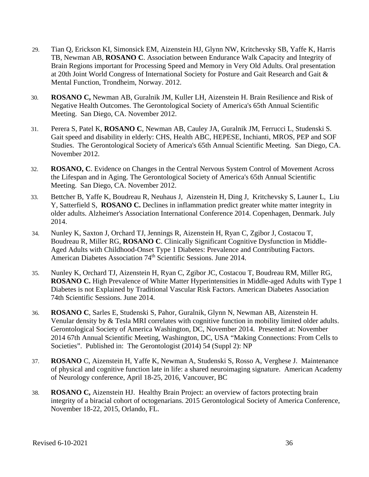- 29. Tian Q, Erickson KI, Simonsick EM, Aizenstein HJ, Glynn NW, Kritchevsky SB, Yaffe K, Harris TB, Newman AB, **ROSANO C**. Association between Endurance Walk Capacity and Integrity of Brain Regions important for Processing Speed and Memory in Very Old Adults. Oral presentation at 20th Joint World Congress of International Society for Posture and Gait Research and Gait & Mental Function, Trondheim, Norway. 2012.
- 30. **ROSANO C,** Newman AB, Guralnik JM, Kuller LH, Aizenstein H. Brain Resilience and Risk of Negative Health Outcomes. The Gerontological Society of America's 65th Annual Scientific Meeting. San Diego, CA. November 2012.
- 31. Perera S, Patel K, **ROSANO C**, Newman AB, Cauley JA, Guralnik JM, Ferrucci L, Studenski S. Gait speed and disability in elderly: CHS, Health ABC, HEPESE, Inchianti, MROS, PEP and SOF Studies. The Gerontological Society of America's 65th Annual Scientific Meeting. San Diego, CA. November 2012.
- 32. **ROSANO, C**. Evidence on Changes in the Central Nervous System Control of Movement Across the Lifespan and in Aging. The Gerontological Society of America's 65th Annual Scientific Meeting. San Diego, CA. November 2012.
- 33. Bettcher B, Yaffe K, Boudreau R, Neuhaus J, Aizenstein H, Ding J, Kritchevsky S, Launer L, Liu Y, Satterfield S, **ROSANO C.** Declines in inflammation predict greater white matter integrity in older adults. Alzheimer's Association International Conference 2014. Copenhagen, Denmark. July 2014.
- 34. Nunley K, Saxton J, Orchard TJ, Jennings R, Aizenstein H, Ryan C, Zgibor J, Costacou T, Boudreau R, Miller RG, **ROSANO C**. Clinically Significant Cognitive Dysfunction in Middle-Aged Adults with Childhood-Onset Type 1 Diabetes: Prevalence and Contributing Factors. American Diabetes Association 74<sup>th</sup> Scientific Sessions. June 2014.
- 35. Nunley K, Orchard TJ, Aizenstein H, Ryan C, Zgibor JC, Costacou T, Boudreau RM, Miller RG, **ROSANO C.** High Prevalence of White Matter Hyperintensities in Middle-aged Adults with Type 1 Diabetes is not Explained by Traditional Vascular Risk Factors. American Diabetes Association 74th Scientific Sessions. June 2014.
- 36. **ROSANO C**, Sarles E, Studenski S, Pahor, Guralnik, Glynn N, Newman AB, Aizenstein H. Venular density by & Tesla MRI correlates with cognitive function in mobility limited older adults. Gerontological Society of America Washington, DC, November 2014. Presented at: November 2014 67th Annual Scientific Meeting, Washington, DC, USA "Making Connections: From Cells to Societies". Published in: The Gerontologist (2014) 54 (Suppl 2): NP
- 37. **ROSANO** C, Aizenstein H, Yaffe K, Newman A, Studenski S, Rosso A, Verghese J. Maintenance of physical and cognitive function late in life: a shared neuroimaging signature. American Academy of Neurology conference, April 18-25, 2016, Vancouver, BC
- 38. **ROSANO C,** Aizenstein HJ. Healthy Brain Project: an overview of factors protecting brain integrity of a biracial cohort of octogenarians. 2015 Gerontological Society of America Conference, November 18-22, 2015, Orlando, FL.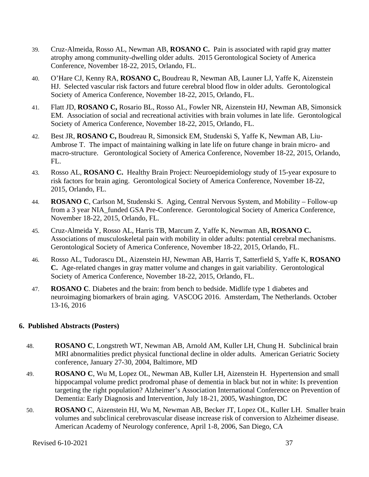- 39. Cruz-Almeida, Rosso AL, Newman AB, **ROSANO C.** Pain is associated with rapid gray matter atrophy among community-dwelling older adults. 2015 Gerontological Society of America Conference, November 18-22, 2015, Orlando, FL.
- 40. O'Hare CJ, Kenny RA, **ROSANO C,** Boudreau R, Newman AB, Launer LJ, Yaffe K, Aizenstein HJ. Selected vascular risk factors and future cerebral blood flow in older adults. Gerontological Society of America Conference, November 18-22, 2015, Orlando, FL.
- 41. Flatt JD, **ROSANO C,** Rosario BL, Rosso AL, Fowler NR, Aizenstein HJ, Newman AB, Simonsick EM. Association of social and recreational activities with brain volumes in late life. Gerontological Society of America Conference, November 18-22, 2015, Orlando, FL.
- 42. Best JR, **ROSANO C,** Boudreau R, Simonsick EM, Studenski S, Yaffe K, Newman AB, Liu-Ambrose T. The impact of maintaining walking in late life on future change in brain micro- and macro-structure. Gerontological Society of America Conference, November 18-22, 2015, Orlando, FL.
- 43. Rosso AL, **ROSANO C.** Healthy Brain Project: Neuroepidemiology study of 15-year exposure to risk factors for brain aging. Gerontological Society of America Conference, November 18-22, 2015, Orlando, FL.
- 44. **ROSANO C**, Carlson M, Studenski S. Aging, Central Nervous System, and Mobility Follow-up from a 3 year NIA\_funded GSA Pre-Conference. Gerontological Society of America Conference, November 18-22, 2015, Orlando, FL.
- 45. Cruz-Almeida Y, Rosso AL, Harris TB, Marcum Z, Yaffe K, Newman AB**, ROSANO C.**  Associations of musculoskeletal pain with mobility in older adults: potential cerebral mechanisms. Gerontological Society of America Conference, November 18-22, 2015, Orlando, FL.
- 46. Rosso AL, Tudorascu DL, Aizenstein HJ, Newman AB, Harris T, Satterfield S, Yaffe K, **ROSANO C.** Age-related changes in gray matter volume and changes in gait variability. Gerontological Society of America Conference, November 18-22, 2015, Orlando, FL.
- 47. **ROSANO C**. Diabetes and the brain: from bench to bedside. Midlife type 1 diabetes and neuroimaging biomarkers of brain aging. VASCOG 2016. Amsterdam, The Netherlands. October 13-16, 2016

### **6. Published Abstracts (Posters)**

- 48. **ROSANO C**, Longstreth WT, Newman AB, Arnold AM, Kuller LH, Chung H. Subclinical brain MRI abnormalities predict physical functional decline in older adults. American Geriatric Society conference, January 27-30, 2004, Baltimore, MD
- 49. **ROSANO C**, Wu M, Lopez OL, Newman AB, Kuller LH, Aizenstein H. Hypertension and small hippocampal volume predict prodromal phase of dementia in black but not in white: Is prevention targeting the right population? Alzheimer's Association International Conference on Prevention of Dementia: Early Diagnosis and Intervention, July 18-21, 2005, Washington, DC
- 50. **ROSANO** C, Aizenstein HJ, Wu M, Newman AB, Becker JT, Lopez OL, Kuller LH. Smaller brain volumes and subclinical cerebrovascular disease increase risk of conversion to Alzheimer disease. American Academy of Neurology conference, April 1-8, 2006, San Diego, CA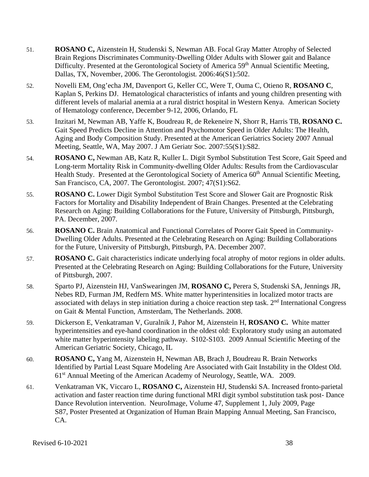- 51. **ROSANO C,** Aizenstein H, Studenski S, Newman AB. Focal Gray Matter Atrophy of Selected Brain Regions Discriminates Community-Dwelling Older Adults with Slower gait and Balance Difficulty. Presented at the Gerontological Society of America 59<sup>th</sup> Annual Scientific Meeting, Dallas, TX, November, 2006. The Gerontologist*.* 2006:46(S1):502.
- 52. Novelli EM, Ong'echa JM, Davenport G, Keller CC, Were T, Ouma C, Otieno R, **ROSANO C**, Kaplan S, Perkins DJ. Hematological characteristics of infants and young children presenting with different levels of malarial anemia at a rural district hospital in Western Kenya. American Society of Hematology conference, December 9-12, 2006, Orlando, FL
- 53. Inzitari M, Newman AB, Yaffe K, Boudreau R, de Rekeneire N, Shorr R, Harris TB, **ROSANO C.**  Gait Speed Predicts Decline in Attention and Psychomotor Speed in Older Adults: The Health, Aging and Body Composition Study. Presented at the American Geriatrics Society 2007 Annual Meeting, Seattle, WA, May 2007. J Am Geriatr Soc*.* 2007:55(S1):S82.
- 54. **ROSANO C,** Newman AB, Katz R, Kuller L. Digit Symbol Substitution Test Score, Gait Speed and Long-term Mortality Risk in Community-dwelling Older Adults: Results from the Cardiovascular Health Study. Presented at the Gerontological Society of America 60<sup>th</sup> Annual Scientific Meeting, San Francisco, CA, 2007. The Gerontologist. 2007; 47(S1):S62.
- 55. **ROSANO C.** Lower Digit Symbol Substitution Test Score and Slower Gait are Prognostic Risk Factors for Mortality and Disability Independent of Brain Changes. Presented at the Celebrating Research on Aging: Building Collaborations for the Future, University of Pittsburgh, Pittsburgh, PA. December, 2007.
- 56. **ROSANO C.** Brain Anatomical and Functional Correlates of Poorer Gait Speed in Community-Dwelling Older Adults. Presented at the Celebrating Research on Aging: Building Collaborations for the Future, University of Pittsburgh, Pittsburgh, PA. December 2007.
- 57. **ROSANO C.** Gait characteristics indicate underlying focal atrophy of motor regions in older adults. Presented at the Celebrating Research on Aging: Building Collaborations for the Future, University of Pittsburgh, 2007.
- 58. Sparto PJ, Aizenstein HJ, VanSwearingen JM, **ROSANO C,** Perera S, Studenski SA, Jennings JR, Nebes RD, Furman JM, Redfern MS. White matter hyperintensities in localized motor tracts are associated with delays in step initiation during a choice reaction step task. 2<sup>nd</sup> International Congress on Gait & Mental Function, Amsterdam, The Netherlands. 2008.
- 59. Dickerson E, Venkatraman V, Guralnik J, Pahor M, Aizenstein H, **ROSANO C.** White matter hyperintensities and eye-hand coordination in the oldest old: Exploratory study using an automated white matter hyperintensity labeling pathway. S102-S103. 2009 Annual Scientific Meeting of the American Geriatric Society, Chicago, IL
- 60. **ROSANO C,** Yang M, Aizenstein H, Newman AB, Brach J, Boudreau R. Brain Networks Identified by Partial Least Square Modeling Are Associated with Gait Instability in the Oldest Old. 61st Annual Meeting of the American Academy of Neurology, Seattle, WA. 2009.
- 61. Venkatraman VK, Viccaro L, **ROSANO C,** Aizenstein HJ, Studenski SA. Increased fronto-parietal activation and faster reaction time during functional MRI digit symbol substitution task post- Dance Dance Revolution intervention. NeuroImage, Volume 47, Supplement 1, July 2009, Page S87, Poster Presented at Organization of Human Brain Mapping Annual Meeting, San Francisco, CA.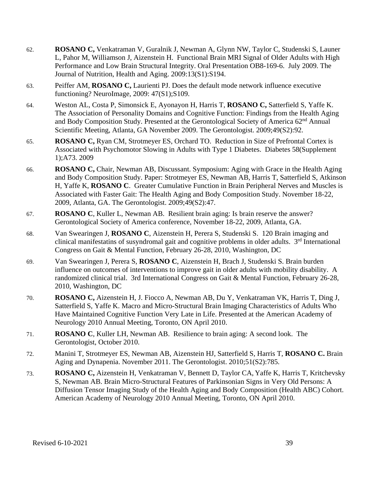- 62. **ROSANO C,** Venkatraman V, Guralnik J, Newman A, Glynn NW, Taylor C, Studenski S, Launer L, Pahor M, Williamson J, Aizenstein H. Functional Brain MRI Signal of Older Adults with High Performance and Low Brain Structural Integrity. Oral Presentation OB8-169-6. July 2009. The Journal of Nutrition, Health and Aging. 2009:13(S1):S194.
- 63. Peiffer AM, **ROSANO C,** Laurienti PJ. Does the default mode network influence executive functioning? NeuroImage, 2009: 47(S1);S109.
- 64. Weston AL, Costa P, Simonsick E, Ayonayon H, Harris T, **ROSANO C,** Satterfield S, Yaffe K. The Association of Personality Domains and Cognitive Function: Findings from the Health Aging and Body Composition Study. Presented at the Gerontological Society of America 62nd Annual Scientific Meeting, Atlanta, GA November 2009. The Gerontologist. 2009;49(S2):92.
- 65. **ROSANO C,** Ryan CM, Strotmeyer ES, Orchard TO. Reduction in Size of Prefrontal Cortex is Associated with Psychomotor Slowing in Adults with Type 1 Diabetes. Diabetes 58(Supplement 1);A73. 2009
- 66. **ROSANO C,** Chair, Newman AB, Discussant. Symposium: Aging with Grace in the Health Aging and Body Composition Study. Paper: Strotmeyer ES, Newman AB, Harris T, Satterfield S, Atkinson H, Yaffe K, **ROSANO C**. Greater Cumulative Function in Brain Peripheral Nerves and Muscles is Associated with Faster Gait: The Health Aging and Body Composition Study. November 18-22, 2009, Atlanta, GA. The Gerontologist. 2009;49(S2):47.
- 67. **ROSANO C**, Kuller L, Newman AB. Resilient brain aging: Is brain reserve the answer? Gerontological Society of America conference, November 18-22, 2009, Atlanta, GA.
- 68. Van Swearingen J, **ROSANO C**, Aizenstein H, Perera S, Studenski S. 120 Brain imaging and clinical manifestatins of susyndromal gait and cognitive problems in older adults. 3<sup>rd</sup> International Congress on Gait & Mental Function, February 26-28, 2010, Washington, DC
- 69. Van Swearingen J, Perera S, **ROSANO C**, Aizenstein H, Brach J, Studenski S. Brain burden influence on outcomes of interventions to improve gait in older adults with mobility disability. A randomized clinical trial. 3rd International Congress on Gait & Mental Function, February 26-28, 2010, Washington, DC
- 70. **ROSANO C,** Aizenstein H, J. Fiocco A, Newman AB, Du Y, Venkatraman VK, Harris T, Ding J, Satterfield S, Yaffe K. Macro and Micro-Structural Brain Imaging Characteristics of Adults Who Have Maintained Cognitive Function Very Late in Life. Presented at the American Academy of Neurology 2010 Annual Meeting, Toronto, ON April 2010.
- 71. **ROSANO C**, Kuller LH, Newman AB. Resilience to brain aging: A second look. The Gerontologist, October 2010.
- 72. Manini T, Strotmeyer ES, Newman AB, Aizenstein HJ, Satterfield S, Harris T, **ROSANO C.** Brain Aging and Dynapenia. November 2011. The Gerontologist. 2010;51(S2):785.
- 73. **ROSANO C,** Aizenstein H, Venkatraman V, Bennett D, Taylor CA, Yaffe K, Harris T, Kritchevsky S, Newman AB. Brain Micro-Structural Features of Parkinsonian Signs in Very Old Persons: A Diffusion Tensor Imaging Study of the Health Aging and Body Composition (Health ABC) Cohort. American Academy of Neurology 2010 Annual Meeting, Toronto, ON April 2010.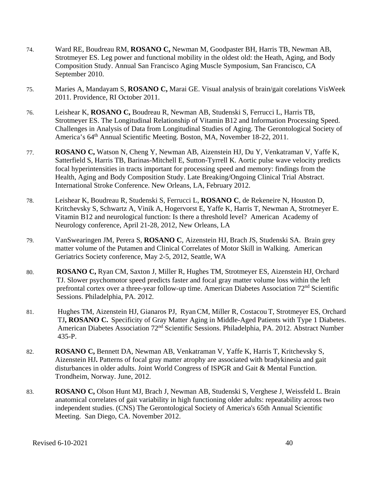- 74. Ward RE, Boudreau RM, **ROSANO C,** Newman M, Goodpaster BH, Harris TB, Newman AB, Strotmeyer ES. Leg power and functional mobility in the oldest old: the Heath, Aging, and Body Composition Study. Annual San Francisco Aging Muscle Symposium, San Francisco, CA September 2010.
- 75. Maries A, Mandayam S, **ROSANO C,** Marai GE. Visual analysis of brain/gait corelations VisWeek 2011. Providence, RI October 2011.
- 76. Leishear K, **ROSANO C,** Boudreau R, Newman AB, Studenski S, Ferrucci L, Harris TB, Strotmeyer ES. The Longitudinal Relationship of Vitamin B12 and Information Processing Speed. Challenges in Analysis of Data from Longitudinal Studies of Aging. The Gerontological Society of America's 64th Annual Scientific Meeting. Boston, MA, November 18-22, 2011.
- 77. **ROSANO C,** Watson N, Cheng Y, Newman AB, Aizenstein HJ, Du Y, Venkatraman V, Yaffe K, Satterfield S, Harris TB, Barinas-Mitchell E, Sutton-Tyrrell K. Aortic pulse wave velocity predicts focal hyperintensities in tracts important for processing speed and memory: findings from the Health, Aging and Body Composition Study. Late Breaking/Ongoing Clinical Trial Abstract. International Stroke Conference. New Orleans, LA, February 2012.
- 78. Leishear K, Boudreau R, Studenski S, Ferrucci L, **ROSANO C**, de Rekeneire N, Houston D, Kritchevsky S, Schwartz A, Vinik A, Hogervorst E, Yaffe K, Harris T, Newman A, Strotmeyer E. Vitamin B12 and neurological function: Is there a threshold level? American Academy of Neurology conference, April 21-28, 2012, New Orleans, LA
- 79. VanSwearingen JM, Perera S, **ROSANO C**, Aizenstein HJ, Brach JS, Studenski SA. Brain grey matter volume of the Putamen and Clinical Correlates of Motor Skill in Walking. American Geriatrics Society conference, May 2-5, 2012, Seattle, WA
- 80. **ROSANO C,** Ryan CM, Saxton J, Miller R, Hughes TM, Strotmeyer ES, Aizenstein HJ, Orchard TJ. Slower psychomotor speed predicts faster and focal gray matter volume loss within the left prefrontal cortex over a three-year follow-up time. American Diabetes Association 72<sup>nd</sup> Scientific Sessions. Philadelphia, PA. 2012.
- 81. Hughes TM, Aizenstein HJ, Gianaros PJ, RyanCM, Miller R, Costacou T, Strotmeyer ES, Orchard TJ**, ROSANO C.** [Specificity of Gray Matter Aging in Middle-Aged Patients with Type 1 Diabetes.](http://www.abstractsonline.com/Plan/ViewAbstract.aspx?mID=2936&sKey=465c09cc-e66a-403c-a619-0f648526bd73&cKey=0287e6f7-63f1-49b8-84c7-e3639bb368b4&mKey=%7b0F70410F-8DF3-49F5-A63D-3165359F5371%7d) American Diabetes Association 72nd Scientific Sessions. Philadelphia, PA. 2012. Abstract Number 435-P.
- 82. **ROSANO C,** Bennett DA, Newman AB, Venkatraman V, Yaffe K, Harris T, Kritchevsky S, Aizenstein HJ**.** Patterns of focal gray matter atrophy are associated with bradykinesia and gait disturbances in older adults. Joint World Congress of ISPGR and Gait & Mental Function. Trondheim, Norway. June, 2012.
- 83. **ROSANO C,** Olson Hunt MJ, Brach J, Newman AB, Studenski S, Verghese J, Weissfeld L. Brain anatomical correlates of gait variability in high functioning older adults: repeatability across two independent studies. (CNS) The Gerontological Society of America's 65th Annual Scientific Meeting. San Diego, CA. November 2012.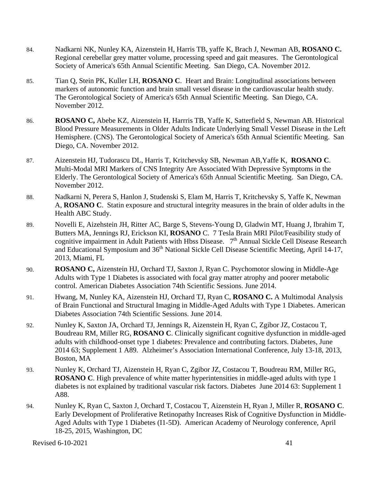- 84. Nadkarni NK, Nunley KA, Aizenstein H, Harris TB, yaffe K, Brach J, Newman AB, **ROSANO C.**  Regional cerebellar grey matter volume, processing speed and gait measures. The Gerontological Society of America's 65th Annual Scientific Meeting. San Diego, CA. November 2012.
- 85. Tian Q, Stein PK, Kuller LH, **ROSANO C**. Heart and Brain: Longitudinal associations between markers of autonomic function and brain small vessel disease in the cardiovascular health study. The Gerontological Society of America's 65th Annual Scientific Meeting. San Diego, CA. November 2012.
- 86. **ROSANO C,** Abebe KZ, Aizenstein H, Harrris TB, Yaffe K, Satterfield S, Newman AB. Historical Blood Pressure Measurements in Older Adults Indicate Underlying Small Vessel Disease in the Left Hemisphere. (CNS). The Gerontological Society of America's 65th Annual Scientific Meeting. San Diego, CA. November 2012.
- 87. Aizenstein HJ, Tudorascu DL, Harris T, Kritchevsky SB, Newman AB,Yaffe K, **ROSANO C**. Multi-Modal MRI Markers of CNS Integrity Are Associated With Depressive Symptoms in the Elderly. The Gerontological Society of America's 65th Annual Scientific Meeting. San Diego, CA. November 2012.
- 88. Nadkarni N, Perera S, Hanlon J, Studenski S, Elam M, Harris T, Kritchevsky S, Yaffe K, Newman A, **ROSANO C**. Statin exposure and structural integrity measures in the brain of older adults in the Health ABC Study.
- 89. Novelli E, Aizehstein JH, Ritter AC, Barge S, Stevens-Young D, Gladwin MT, Huang J, Ibrahim T, Butters MA, Jennings RJ, Erickson KI, **ROSANO** C. 7 Tesla Brain MRI Pilot/Feasibility study of cognitive impairment in Adult Patients with Hbss Disease. 7<sup>th</sup> Annual Sickle Cell Disease Research and Educational Symposium and 36<sup>th</sup> National Sickle Cell Disease Scientific Meeting, April 14-17, 2013, Miami, FL
- 90. **ROSANO C,** Aizenstein HJ, Orchard TJ, Saxton J, Ryan C. Psychomotor slowing in Middle-Age Adults with Type 1 Diabetes is associated with focal gray matter atrophy and poorer metabolic control. American Diabetes Association 74th Scientific Sessions. June 2014.
- 91. Hwang, M, Nunley KA, Aizenstein HJ, Orchard TJ, Ryan C, **ROSANO C.** A Multimodal Analysis of Brain Functional and Structural Imaging in Middle-Aged Adults with Type 1 Diabetes. American Diabetes Association 74th Scientific Sessions. June 2014.
- 92. Nunley K, Saxton JA, Orchard TJ, Jennings R, Aizenstein H, Ryan C, Zgibor JZ, Costacou T, Boudreau RM, Miller RG, **ROSANO C**. Clinically significant cognitive dysfunction in middle-aged adults with childhood-onset type 1 diabetes: Prevalence and contributing factors. Diabetes, June 2014 63; Supplement 1 A89. Alzheimer's Association International Conference, July 13-18, 2013, Boston, MA
- 93. Nunley K, Orchard TJ, Aizenstein H, Ryan C, Zgibor JZ, Costacou T, Boudreau RM, Miller RG, **ROSANO C**. High prevalence of white matter hyperintensities in middle-aged adults with type 1 diabetes is not explained by traditional vascular risk factors. Diabetes June 2014 63: Supplement 1 A88.
- 94. Nunley K, Ryan C, Saxton J, Orchard T, Costacou T, Aizenstein H, Ryan J, Miller R, **ROSANO C**. Early Development of Proliferative Retinopathy Increases Risk of Cognitive Dysfunction in Middle-Aged Adults with Type 1 Diabetes (I1-5D). American Academy of Neurology conference, April 18-25, 2015, Washington, DC

Revised 6-10-2021  $\frac{41}{100}$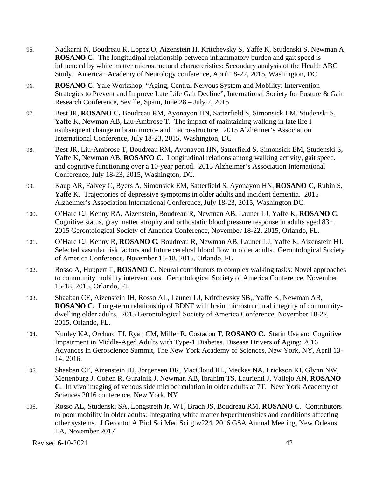- 95. Nadkarni N, Boudreau R, Lopez O, Aizenstein H, Kritchevsky S, Yaffe K, Studenski S, Newman A, **ROSANO C**. The longitudinal relationship between inflammatory burden and gait speed is influenced by white matter microstructural characteristics: Secondary analysis of the Health ABC Study. American Academy of Neurology conference, April 18-22, 2015, Washington, DC
- 96. **ROSANO C**. Yale Workshop, "Aging, Central Nervous System and Mobility: Intervention Strategies to Prevent and Improve Late Life Gait Decline", International Society for Posture & Gait Research Conference, Seville, Spain, June 28 – July 2, 2015
- 97. Best JR, **ROSANO C,** Boudreau RM, Ayonayon HN, Satterfield S, Simonsick EM, Studenski S, Yaffe K, Newman AB, Liu-Ambrose T. The impact of maintaining walking in late life I nsubsequent change in brain micro- and macro-structure. 2015 Alzheimer's Association International Conference, July 18-23, 2015, Washington, DC
- 98. Best JR, Liu-Ambrose T, Boudreau RM, Ayonayon HN, Satterfield S, Simonsick EM, Studenski S, Yaffe K, Newman AB, **ROSANO C**. Longitudinal relations among walking activity, gait speed, and cognitive functioning over a 10-year period. 2015 Alzheimer's Association International Conference, July 18-23, 2015, Washington, DC.
- 99. Kaup AR, Falvey C, Byers A, Simonsick EM, Satterfield S, Ayonayon HN, **ROSANO C,** Rubin S, Yaffe K. Trajectories of depressive symptoms in older adults and incident dementia. 2015 Alzheimer's Association International Conference, July 18-23, 2015, Washington DC.
- 100. O'Hare CJ, Kenny RA, Aizenstein, Boudreau R, Newman AB, Launer LJ, Yaffe K, **ROSANO C.** Cognitive status, gray matter atrophy and orthostatic blood pressure response in adults aged 83+. 2015 Gerontological Society of America Conference, November 18-22, 2015, Orlando, FL.
- 101. O'Hare CJ, Kenny R, **ROSANO C**, Boudreau R, Newman AB, Launer LJ, Yaffe K, Aizenstein HJ. Selected vascular risk factors and future cerebral blood flow in older adults. Gerontological Society of America Conference, November 15-18, 2015, Orlando, FL
- 102. Rosso A, Huppert T, **ROSANO C**. Neural contributors to complex walking tasks: Novel approaches to community mobility interventions. Gerontological Society of America Conference, November 15-18, 2015, Orlando, FL
- 103. Shaaban CE, Aizenstein JH, Rosso AL, Launer LJ, Kritchevsky SB,, Yaffe K, Newman AB, **ROSANO C.** Long-term relationship of BDNF with brain microstructural integrity of communitydwelling older adults. 2015 Gerontological Society of America Conference, November 18-22, 2015, Orlando, FL.
- 104. Nunley KA, Orchard TJ, Ryan CM, Miller R, Costacou T, **ROSANO C.** Statin Use and Cognitive Impairment in Middle-Aged Adults with Type-1 Diabetes. Disease Drivers of Aging: 2016 Advances in Geroscience Summit, The New York Academy of Sciences, New York, NY, April 13- 14, 2016.
- 105. Shaaban CE, Aizenstein HJ, Jorgensen DR, MacCloud RL, Meckes NA, Erickson KI, Glynn NW, Mettenburg J, Cohen R, Guralnik J, Newman AB, Ibrahim TS, Laurienti J, Vallejo AN, **ROSANO C**. In vivo imaging of venous side microcirculation in older adults at 7T. New York Academy of Sciences 2016 conference, New York, NY
- 106. Rosso AL, Studenski SA, Longstreth Jr, WT, Brach JS, Boudreau RM, **ROSANO C**. Contributors to poor mobility in older adults: Integrating white matter hyperintensities and conditions affecting other systems. J Gerontol A Biol Sci Med Sci glw224, 2016 GSA Annual Meeting, New Orleans, LA, November 2017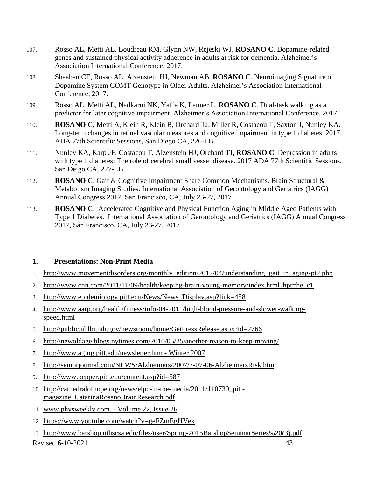- 107. Rosso AL, Metti AL, Boudreau RM, Glynn NW, Rejeski WJ, **ROSANO C**. Dopamine-related genes and sustained physical activity adherence in adults at risk for dementia. Alzheimer's Association International Conference, 2017.
- 108. Shaaban CE, Rosso AL, Aizenstein HJ, Newman AB, **ROSANO C**. Neuroimaging Signature of Dopamine System COMT Genotype in Older Adults. Alzheimer's Association International Conference, 2017.
- 109. Rosso AL, Metti AL, Nadkarni NK, Yaffe K, Launer L, **ROSANO C**. Dual-task walking as a predictor for later cognitive impairment. Alzheimer's Association International Conference, 2017
- 110. **ROSANO C,** Metti A, Klein R, Klein B, Orchard TJ, Miller R, Costacou T, Saxton J, Nunley KA. Long-term changes in retinal vascular measures and cognitive impairment in type 1 diabetes. 2017 ADA 77th Scientific Sessions, San Diego CA, 226-LB.
- 111. Nunley KA, Karp JF, Costacou T, Aizenstein HJ, Orchard TJ, **ROSANO C**. Depression in adults with type 1 diabetes: The role of cerebral small vessel disease. 2017 ADA 77th Scientific Sessions, San Deigo CA, 227-LB.
- 112. **ROSANO C**. Gait & Cognitive Impairment Share Common Mechanisms. Brain Structural & Metabolism Imaging Studies. International Association of Gerontology and Geriatrics (IAGG) Annual Congress 2017, San Francisco, CA, July 23-27, 2017
- 113. **ROSANO C**. Accelerated Cognitive and Physical Function Aging in Middle Aged Patients with Type 1 Diabetes. International Association of Gerontology and Geriatrics (IAGG) Annual Congress 2017, San Francisco, CA, July 23-27, 2017

### **1. Presentations: Non-Print Media**

- 1. [http://www.movementdisorders.org/monthly\\_edition/2012/04/understanding\\_gait\\_in\\_aging-pt2.php](http://www.movementdisorders.org/monthly_edition/2012/04/understanding_gait_in_aging-pt2.php)
- 2. [http://www.cnn.com/2011/11/09/health/keeping-brain-young-memory/index.html?hpt=he\\_c1](http://www.cnn.com/2011/11/09/health/keeping-brain-young-memory/index.html?hpt=he_c1)
- 3. [http://www.epidemiology.pitt.edu/News/News\\_Display.asp?link=458](http://www.epidemiology.pitt.edu/News/News_Display.asp?link=458)
- 4. [http://www.aarp.org/health/fitness/info-04-2011/high-blood-pressure-and-slower-walking](http://www.aarp.org/health/fitness/info-04-2011/high-blood-pressure-and-slower-walking-speed.html)[speed.html](http://www.aarp.org/health/fitness/info-04-2011/high-blood-pressure-and-slower-walking-speed.html)
- 5. <http://public.nhlbi.nih.gov/newsroom/home/GetPressRelease.aspx?id=2766>
- 6. <http://newoldage.blogs.nytimes.com/2010/05/25/another-reason-to-keep-moving/>
- 7. [http://www.aging.pitt.edu/newsletter.htm -](http://www.aging.pitt.edu/newsletter.htm) Winter 2007
- 8. <http://seniorjournal.com/NEWS/Alzheimers/2007/7-07-06-AlzheimersRisk.htm>
- 9. <http://www.pepper.pitt.edu/content.asp?id=587>
- 10. http://cathedralofhope.org/news/elpc-in-the-media/2011/110730\_pittmagazine\_CatarinaRosanoBrainResearch.pdf
- 11. [www.physweekly.com. -](http://www.physweekly.com/) Volume 22, Issue 26
- 12. <https://www.youtube.com/watch?v=geFZmEgHVek>
- Revised 6-10-2021 43 13. [http://www.barshop.uthscsa.edu/files/user/Spring-2015BarshopSeminarSeries%20\(3\).pdf](http://www.barshop.uthscsa.edu/files/user/Spring-2015BarshopSeminarSeries%20(3).pdf)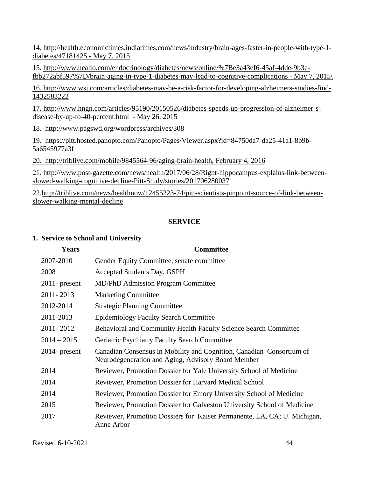14. [http://health.economictimes.indiatimes.com/news/industry/brain-ages-faster-in-people-with-type-1](http://health.economictimes.indiatimes.com/news/industry/brain-ages-faster-in-people-with-type-1-diabetes/47181425%20-%20May%207) [diabetes/47181425 -](http://health.economictimes.indiatimes.com/news/industry/brain-ages-faster-in-people-with-type-1-diabetes/47181425%20-%20May%207) May 7, 2015

15. [http://www.healio.com/endocrinology/diabetes/news/online/%7Be3a43ef6-45af-4dde-9b3e](http://www.healio.com/endocrinology/diabetes/news/online/%7Be3a43ef6-45af-4dde-9b3e-fbb272abf597%7D/brain-aging-in-type-1-diabetes-may-lead-to-cognitive-complications%20-%20May%207)[fbb272abf597%7D/brain-aging-in-type-1-diabetes-may-lead-to-cognitive-complications -](http://www.healio.com/endocrinology/diabetes/news/online/%7Be3a43ef6-45af-4dde-9b3e-fbb272abf597%7D/brain-aging-in-type-1-diabetes-may-lead-to-cognitive-complications%20-%20May%207) May 7, 2015\

16. [http://www.wsj.com/articles/diabetes-may-be-a-risk-factor-for-developing-alzheimers-studies-find-](http://www.wsj.com/articles/diabetes-may-be-a-risk-factor-for-developing-alzheimers-studies-find-1432583222)[1432583222](http://www.wsj.com/articles/diabetes-may-be-a-risk-factor-for-developing-alzheimers-studies-find-1432583222)

17. [http://www.hngn.com/articles/95190/20150526/diabetes-speeds-up-progression-of-alzheimer-s](http://www.hngn.com/articles/95190/20150526/diabetes-speeds-up-progression-of-alzheimer-s-disease-by-up-to-40-percent.html%20%20-%20May%2026)[disease-by-up-to-40-percent.html -](http://www.hngn.com/articles/95190/20150526/diabetes-speeds-up-progression-of-alzheimer-s-disease-by-up-to-40-percent.html%20%20-%20May%2026) May 26, 2015

18. http://www.pagswd.org/wordpress/archives/308

19. [https://pitt.hosted.panopto.com/Panopto/Pages/Viewer.aspx?id=84750da7-da25-41a1-8b9b-](https://pitt.hosted.panopto.com/Panopto/Pages/Viewer.aspx?id=84750da7-da25-41a1-8b9b-5a6545977a3f)[5a6545977a3f](https://pitt.hosted.panopto.com/Panopto/Pages/Viewer.aspx?id=84750da7-da25-41a1-8b9b-5a6545977a3f)

20. [http://triblive.com/mobile/9845564-96/aging-brain-health,](http://triblive.com/mobile/9845564-96/aging-brain-health) February 4, 2016

21. [http://www.post-gazette.com/news/health/2017/06/28/Right-hippocampus-explains-link-between](https://na01.safelinks.protection.outlook.com/?url=http%3A%2F%2Fwww.post-gazette.com%2Fnews%2Fhealth%2F2017%2F06%2F28%2FRight-hippocampus-explains-link-between-slowed-walking-cognitive-decline-Pitt-Study%2Fstories%2F201706280037&data=01%7C01%7CALR143%40pitt.edu%7Cb0e17a4381fa4eb05a3c08d4befbda6f%7C9ef9f489e0a04eeb87cc3a526112fd0d%7C1&sdata=jnqP26mmNvBfEQO987t2F%2B2MJnMBPEgUhe%2FB6wQcKT0%3D&reserved=0)[slowed-walking-cognitive-decline-Pitt-Study/stories/201706280037](https://na01.safelinks.protection.outlook.com/?url=http%3A%2F%2Fwww.post-gazette.com%2Fnews%2Fhealth%2F2017%2F06%2F28%2FRight-hippocampus-explains-link-between-slowed-walking-cognitive-decline-Pitt-Study%2Fstories%2F201706280037&data=01%7C01%7CALR143%40pitt.edu%7Cb0e17a4381fa4eb05a3c08d4befbda6f%7C9ef9f489e0a04eeb87cc3a526112fd0d%7C1&sdata=jnqP26mmNvBfEQO987t2F%2B2MJnMBPEgUhe%2FB6wQcKT0%3D&reserved=0)

22[.http://triblive.com/news/healthnow/12455223-74/pitt-scientists-pinpoint-source-of-link-between](https://na01.safelinks.protection.outlook.com/?url=http%3A%2F%2Ftriblive.com%2Fnews%2Fhealthnow%2F12455223-74%2Fpitt-scientists-pinpoint-source-of-link-between-slower-walking-mental-decline&data=01%7C01%7CALR143%40pitt.edu%7Cb0e17a4381fa4eb05a3c08d4befbda6f%7C9ef9f489e0a04eeb87cc3a526112fd0d%7C1&sdata=i7oCnMYVp1Eviqd0OZ8m6O6m5BJfTD8IlyXvtpK%2BtnY%3D&reserved=0)[slower-walking-mental-decline](https://na01.safelinks.protection.outlook.com/?url=http%3A%2F%2Ftriblive.com%2Fnews%2Fhealthnow%2F12455223-74%2Fpitt-scientists-pinpoint-source-of-link-between-slower-walking-mental-decline&data=01%7C01%7CALR143%40pitt.edu%7Cb0e17a4381fa4eb05a3c08d4befbda6f%7C9ef9f489e0a04eeb87cc3a526112fd0d%7C1&sdata=i7oCnMYVp1Eviqd0OZ8m6O6m5BJfTD8IlyXvtpK%2BtnY%3D&reserved=0)

### **SERVICE**

### **1. Service to School and University**

| <b>Years</b>     | <b>Committee</b>                                                                                                           |
|------------------|----------------------------------------------------------------------------------------------------------------------------|
| 2007-2010        | Gender Equity Committee, senate committee                                                                                  |
| 2008             | Accepted Students Day, GSPH                                                                                                |
| $2011$ - present | <b>MD/PhD Admission Program Committee</b>                                                                                  |
| 2011-2013        | <b>Marketing Committee</b>                                                                                                 |
| 2012-2014        | <b>Strategic Planning Committee</b>                                                                                        |
| 2011-2013        | <b>Epidemiology Faculty Search Committee</b>                                                                               |
| 2011-2012        | Behavioral and Community Health Faculty Science Search Committee                                                           |
| $2014 - 2015$    | Geriatric Psychiatry Faculty Search Committee                                                                              |
| $2014$ - present | Canadian Consensus in Mobility and Cognition, Canadian Consortium of<br>Neurodegeneration and Aging, Advisory Board Member |
| 2014             | Reviewer, Promotion Dossier for Yale University School of Medicine                                                         |
| 2014             | Reviewer, Promotion Dossier for Harvard Medical School                                                                     |
| 2014             | Reviewer, Promotion Dossier for Emory University School of Medicine                                                        |
| 2015             | Reviewer, Promotion Dossier for Galveston University School of Medicine                                                    |
| 2017             | Reviewer, Promotion Dossiers for Kaiser Permanente, LA, CA; U. Michigan,<br>Anne Arbor                                     |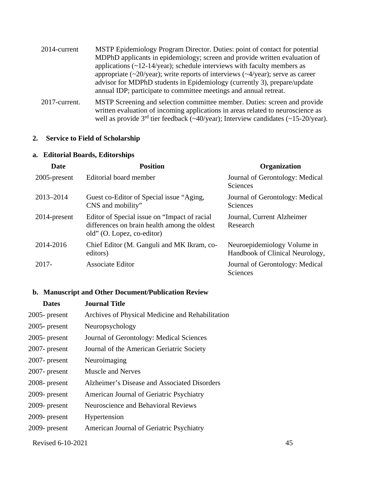| 2014-current  | MSTP Epidemiology Program Director. Duties: point of contact for potential                                                                                                                                                                                  |
|---------------|-------------------------------------------------------------------------------------------------------------------------------------------------------------------------------------------------------------------------------------------------------------|
|               | MDPhD applicants in epidemiology; screen and provide written evaluation of                                                                                                                                                                                  |
|               | applications $(\sim 12-14$ /year); schedule interviews with faculty members as                                                                                                                                                                              |
|               | appropriate $(\sim 20/\text{year})$ ; write reports of interviews $(\sim 4/\text{year})$ ; serve as career<br>advisor for MDPhD students in Epidemiology (currently 3), prepare/update<br>annual IDP; participate to committee meetings and annual retreat. |
| 2017-current. | MSTP Screening and selection committee member. Duties: screen and provide<br>written evaluation of incoming applications in areas related to neuroscience as<br>well as provide $3rd$ tier feedback (~40/year); Interview candidates (~15-20/year).         |

### **2. Service to Field of Scholarship**

### **a. Editorial Boards, Editorships**

| Date         | <b>Position</b>                                                                                                             | <b>Organization</b>                                            |
|--------------|-----------------------------------------------------------------------------------------------------------------------------|----------------------------------------------------------------|
| 2005-present | Editorial board member                                                                                                      | Journal of Gerontology: Medical<br><b>Sciences</b>             |
| 2013-2014    | Guest co-Editor of Special issue "Aging,<br>CNS and mobility"                                                               | Journal of Gerontology: Medical<br>Sciences                    |
| 2014-present | Editor of Special issue on "Impact of racial"<br>differences on brain health among the oldest<br>old" (O. Lopez, co-editor) | Journal, Current Alzheimer<br>Research                         |
| 2014-2016    | Chief Editor (M. Ganguli and MK Ikram, co-<br>editors)                                                                      | Neuroepidemiology Volume in<br>Handbook of Clinical Neurology, |
| $2017 -$     | Associate Editor                                                                                                            | Journal of Gerontology: Medical<br>Sciences                    |

## **b. Manuscript and Other Document/Publication Review**

| <b>Dates</b>     | <b>Journal Title</b>                             |
|------------------|--------------------------------------------------|
| $2005$ - present | Archives of Physical Medicine and Rehabilitation |
| $2005$ - present | Neuropsychology                                  |
| 2005-present     | Journal of Gerontology: Medical Sciences         |
| $2007$ - present | Journal of the American Geriatric Society        |
| $2007$ - present | Neuroimaging                                     |
| $2007$ - present | <b>Muscle and Nerves</b>                         |
| 2008- present    | Alzheimer's Disease and Associated Disorders     |
| 2009- present    | American Journal of Geriatric Psychiatry         |
| 2009- present    | <b>Neuroscience and Behavioral Reviews</b>       |
| 2009- present    | Hypertension                                     |
| 2009- present    | American Journal of Geriatric Psychiatry         |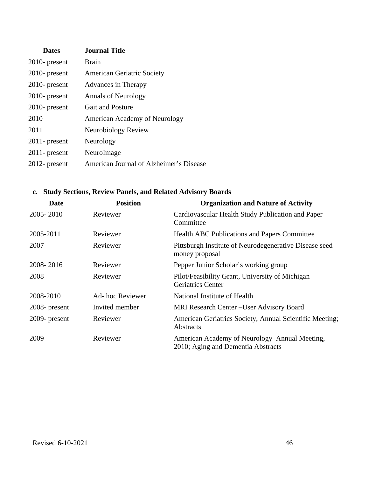| <b>Dates</b>     | <b>Journal Title</b>                    |
|------------------|-----------------------------------------|
| $2010$ - present | <b>Brain</b>                            |
| $2010$ - present | <b>American Geriatric Society</b>       |
| $2010$ - present | Advances in Therapy                     |
| $2010$ - present | <b>Annals of Neurology</b>              |
| $2010$ - present | <b>Gait and Posture</b>                 |
| 2010             | <b>American Academy of Neurology</b>    |
| 2011             | Neurobiology Review                     |
| $2011$ - present | Neurology                               |
| $2011$ - present | NeuroImage                              |
| $2012$ - present | American Journal of Alzheimer's Disease |

## **c. Study Sections, Review Panels, and Related Advisory Boards**

| <b>Date</b>      | <b>Position</b> | <b>Organization and Nature of Activity</b>                                          |  |
|------------------|-----------------|-------------------------------------------------------------------------------------|--|
| 2005-2010        | Reviewer        | Cardiovascular Health Study Publication and Paper<br>Committee                      |  |
| 2005-2011        | Reviewer        | <b>Health ABC Publications and Papers Committee</b>                                 |  |
| 2007             | Reviewer        | Pittsburgh Institute of Neurodegenerative Disease seed<br>money proposal            |  |
| 2008-2016        | Reviewer        | Pepper Junior Scholar's working group                                               |  |
| 2008             | Reviewer        | Pilot/Feasibility Grant, University of Michigan<br><b>Geriatrics Center</b>         |  |
| 2008-2010        | Ad-hoc Reviewer | National Institute of Health                                                        |  |
| $2008$ - present | Invited member  | MRI Research Center – User Advisory Board                                           |  |
| $2009$ - present | Reviewer        | American Geriatrics Society, Annual Scientific Meeting;<br>Abstracts                |  |
| 2009             | Reviewer        | American Academy of Neurology Annual Meeting,<br>2010; Aging and Dementia Abstracts |  |